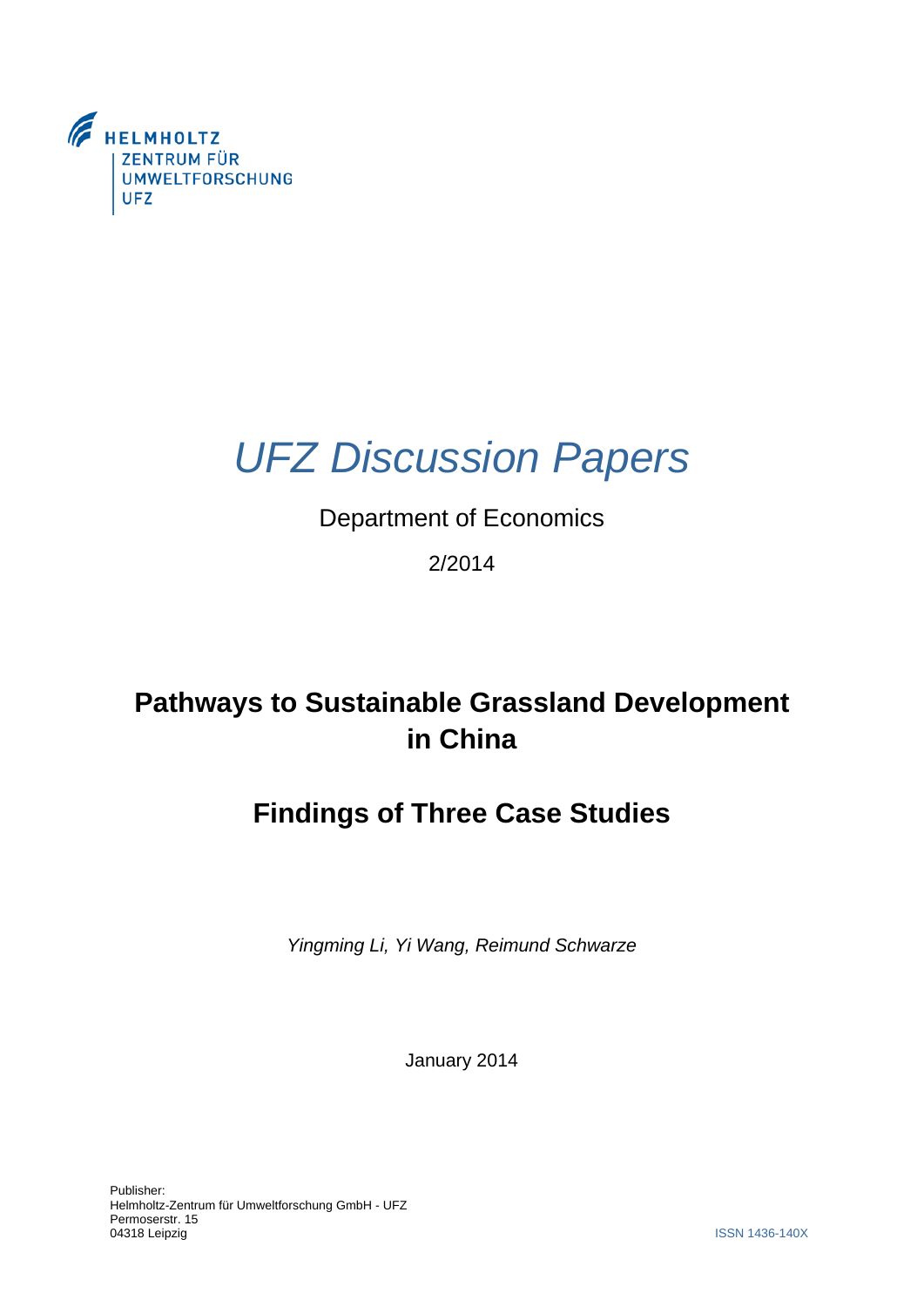

# *UFZ Discussion Papers*

### Department of Economics

### 2/2014

# **Pathways to Sustainable Grassland Development in China**

## **Findings of Three Case Studies**

*Yingming Li, Yi Wang, Reimund Schwarze* 

January 2014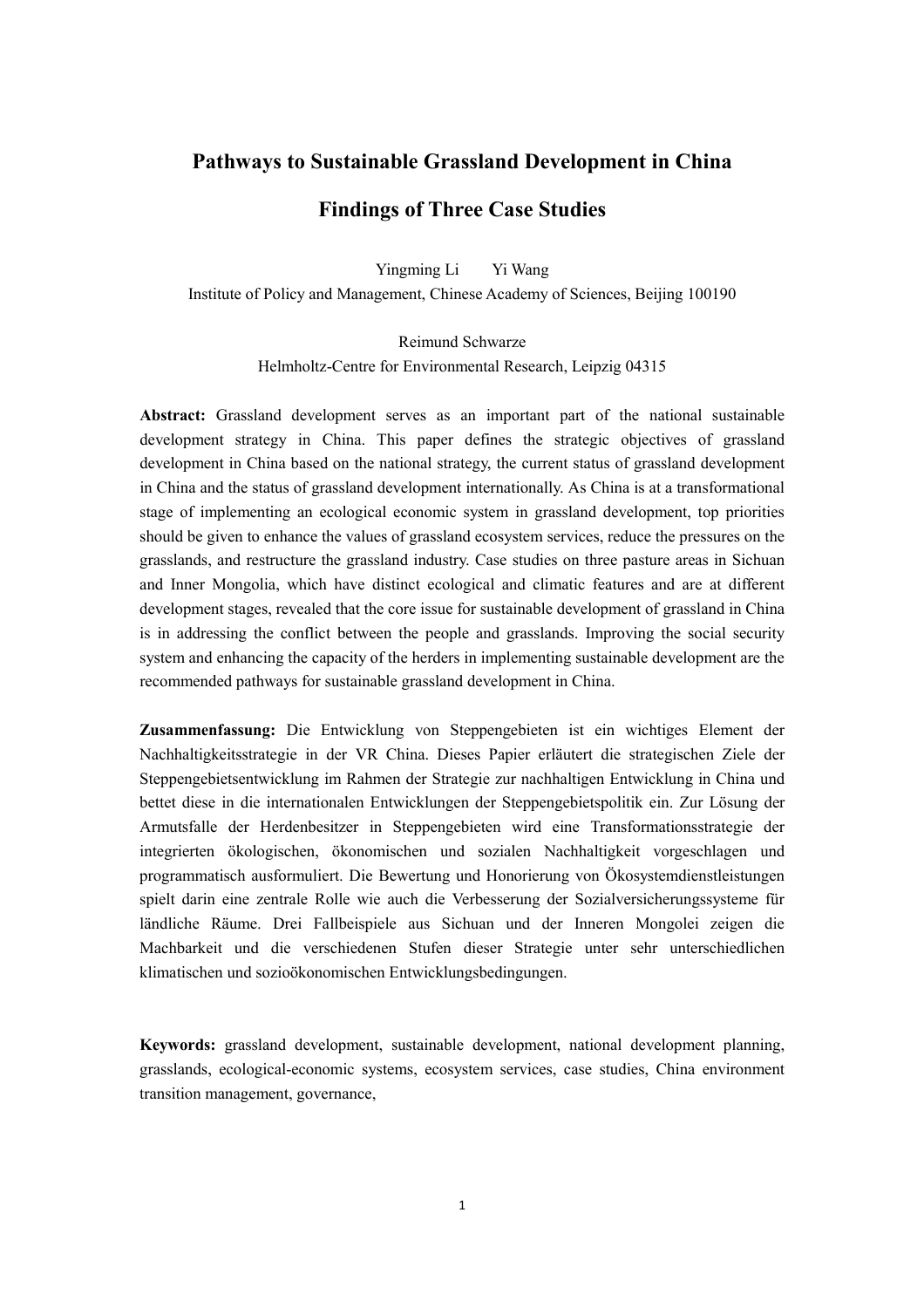#### **Pathways to Sustainable Grassland Development in China**

#### **Findings of Three Case Studies**

 Yingming Li Yi Wang Institute of Policy and Management, Chinese Academy of Sciences, Beijing 100190

> Reimund Schwarze Helmholtz-Centre for Environmental Research, Leipzig 04315

 **Abstract:** Grassland development serves as an important part of the national sustainable development strategy in China. This paper defines the strategic objectives of grassland development in China based on the national strategy, the current status of grassland development in China and the status of grassland development internationally. As China is at a transformational stage of implementing an ecological economic system in grassland development, top priorities grasslands, and restructure the grassland industry. Case studies on three pasture areas in Sichuan and Inner Mongolia, which have distinct ecological and climatic features and are at different is in addressing the conflict between the people and grasslands. Improving the social security should be given to enhance the values of grassland ecosystem services, reduce the pressures on the development stages, revealed that the core issue for sustainable development of grassland in China system and enhancing the capacity of the herders in implementing sustainable development are the recommended pathways for sustainable grassland development in China.

 **Zusammenfassung:** Die Entwicklung von Steppengebieten ist ein wichtiges Element der Nachhaltigkeitsstrategie in der VR China. Dieses Papier erläutert die strategischen Ziele der Steppengebietsentwicklung im Rahmen der Strategie zur nachhaltigen Entwicklung in China und bettet diese in die internationalen Entwicklungen der Steppengebietspolitik ein. Zur Lösung der Armutsfalle der Herdenbesitzer in Steppengebieten wird eine Transformationsstrategie der spielt darin eine zentrale Rolle wie auch die Verbesserung der Sozialversicherungssysteme für ländliche Räume. Drei Fallbeispiele aus Sichuan und der Inneren Mongolei zeigen die Machbarkeit und die verschiedenen Stufen dieser Strategie unter sehr unterschiedlichen integrierten ökologischen, ökonomischen und sozialen Nachhaltigkeit vorgeschlagen und programmatisch ausformuliert. Die Bewertung und Honorierung von Ökosystemdienstleistungen klimatischen und sozioökonomischen Entwicklungsbedingungen.

 **Keywords:** grassland development, sustainable development, national development planning, grasslands, ecological-economic systems, ecosystem services, case studies, China environment transition management, governance,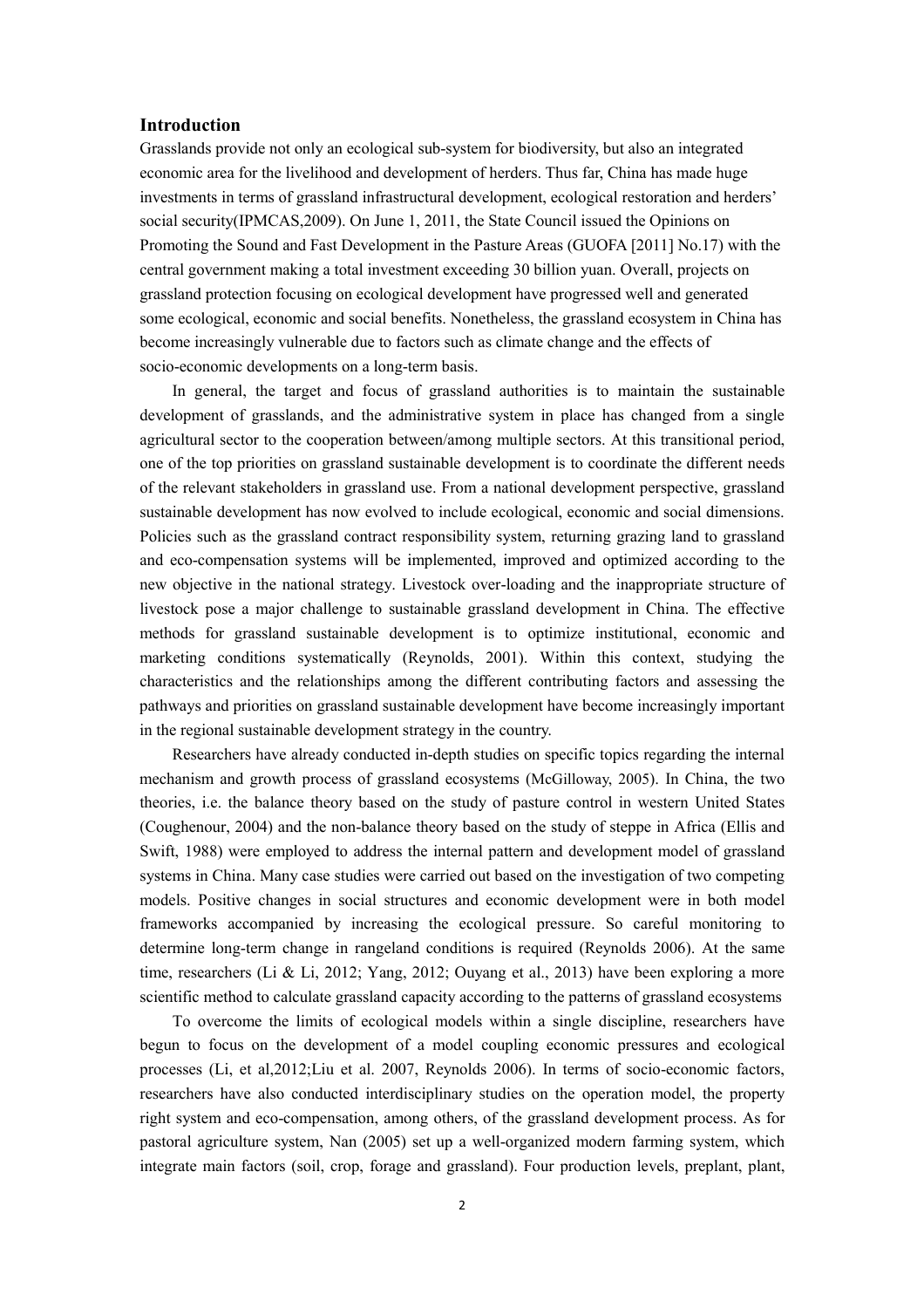#### **Introduction**

 some ecological, economic and social benefits. Nonetheless, the grassland ecosystem in China has become increasingly vulnerable due to factors such as climate change and the effects of Grasslands provide not only an ecological sub-system for biodiversity, but also an integrated economic area for the livelihood and development of herders. Thus far, China has made huge investments in terms of grassland infrastructural development, ecological restoration and herders' social security(IPMCAS,2009). On June 1, 2011, the State Council issued the Opinions on Promoting the Sound and Fast Development in the Pasture Areas (GUOFA [2011] No.17) with the central government making a total investment exceeding 30 billion yuan. Overall, projects on grassland protection focusing on ecological development have progressed well and generated socio-economic developments on a long-term basis.

 In general, the target and focus of grassland authorities is to maintain the sustainable development of grasslands, and the administrative system in place has changed from a single agricultural sector to the cooperation between/among multiple sectors. At this transitional period, one of the top priorities on grassland sustainable development is to coordinate the different needs of the relevant stakeholders in grassland use. From a national development perspective, grassland sustainable development has now evolved to include ecological, economic and social dimensions. Policies such as the grassland contract responsibility system, returning grazing land to grassland and eco-compensation systems will be implemented, improved and optimized according to the new objective in the national strategy. Livestock over-loading and the inappropriate structure of livestock pose a major challenge to sustainable grassland development in China. The effective methods for grassland sustainable development is to optimize institutional, economic and characteristics and the relationships among the different contributing factors and assessing the pathways and priorities on grassland sustainable development have become increasingly important marketing conditions systematically (Reynolds, 2001). Within this context, studying the in the regional sustainable development strategy in the country.

 Researchers have already conducted in-depth studies on specific topics regarding the internal mechanism and growth process of grassland ecosystems (McGilloway, 2005). In China, the two theories, i.e. the balance theory based on the study of pasture control in western United States (Coughenour, 2004) and the non-balance theory based on the study of steppe in Africa (Ellis and Swift, 1988) were employed to address the internal pattern and development model of grassland systems in China. Many case studies were carried out based on the investigation of two competing models. Positive changes in social structures and economic development were in both model frameworks accompanied by increasing the ecological pressure. So careful monitoring to determine long-term change in rangeland conditions is required (Reynolds 2006). At the same time, researchers (Li & Li, 2012; Yang, 2012; Ouyang et al., 2013) have been exploring a more scientific method to calculate grassland capacity according to the patterns of grassland ecosystems scientific method to calculate grassland capacity according to the patterns of grassland ecosystems To overcome the limits of ecological models within a single discipline, researchers have

 begun to focus on the development of a model coupling economic pressures and ecological processes (Li, et al,2012;Liu et al. 2007, Reynolds 2006). In terms of socio-economic factors, researchers have also conducted interdisciplinary studies on the operation model, the property right system and eco-compensation, among others, of the grassland development process. As for pastoral agriculture system, Nan (2005) set up a well-organized modern farming system, which integrate main factors (soil, crop, forage and grassland). Four production levels, preplant, plant,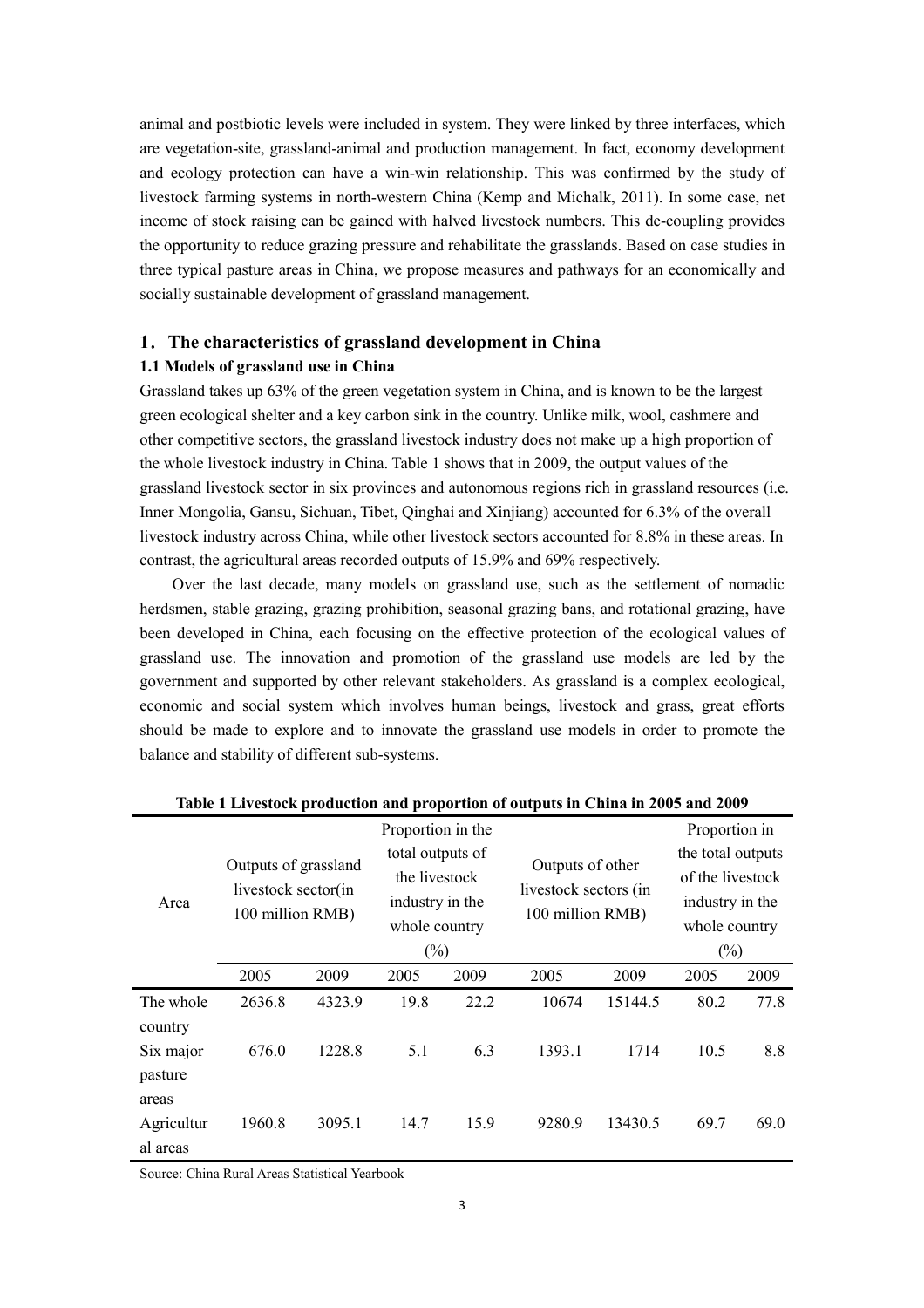animal and postbiotic levels were included in system. They were linked by three interfaces, which and ecology protection can have a win-win relationship. This was confirmed by the study of livestock farming systems in north-western China (Kemp and Michalk, 2011). In some case, net income of stock raising can be gained with halved livestock numbers. This de-coupling provides the opportunity to reduce grazing pressure and rehabilitate the grasslands. Based on case studies in three typical pasture areas in China, we propose measures and pathways for an economically and are vegetation-site, grassland-animal and production management. In fact, economy development socially sustainable development of grassland management.

#### **1**.**The characteristics of grassland development in China**

#### **1.1 Models of grassland use in China**

 Grassland takes up 63% of the green vegetation system in China, and is known to be the largest the whole livestock industry in China. Table 1 shows that in 2009, the output values of the grassland livestock sector in six provinces and autonomous regions rich in grassland resources (i.e. Inner Mongolia, Gansu, Sichuan, Tibet, Qinghai and Xinjiang) accounted for 6.3% of the overall green ecological shelter and a key carbon sink in the country. Unlike milk, wool, cashmere and other competitive sectors, the grassland livestock industry does not make up a high proportion of livestock industry across China, while other livestock sectors accounted for 8.8% in these areas. In contrast, the agricultural areas recorded outputs of 15.9% and 69% respectively.

 Over the last decade, many models on grassland use, such as the settlement of nomadic been developed in China, each focusing on the effective protection of the ecological values of grassland use. The innovation and promotion of the grassland use models are led by the government and supported by other relevant stakeholders. As grassland is a complex ecological, economic and social system which involves human beings, livestock and grass, great efforts should be made to explore and to innovate the grassland use models in order to promote the herdsmen, stable grazing, grazing prohibition, seasonal grazing bans, and rotational grazing, have balance and stability of different sub-systems.

|            |                                                                 |        | Proportion in the                                                     |        |                                                               |         | Proportion in     |        |  |
|------------|-----------------------------------------------------------------|--------|-----------------------------------------------------------------------|--------|---------------------------------------------------------------|---------|-------------------|--------|--|
| Area       | Outputs of grassland<br>livestock sector(in<br>100 million RMB) |        | total outputs of<br>the livestock<br>industry in the<br>whole country |        | Outputs of other<br>livestock sectors (in<br>100 million RMB) |         | the total outputs |        |  |
|            |                                                                 |        |                                                                       |        |                                                               |         | of the livestock  |        |  |
|            |                                                                 |        |                                                                       |        |                                                               |         | industry in the   |        |  |
|            |                                                                 |        |                                                                       |        |                                                               |         | whole country     |        |  |
|            |                                                                 |        |                                                                       | $(\%)$ |                                                               |         |                   | $(\%)$ |  |
|            | 2005                                                            | 2009   | 2005                                                                  | 2009   | 2005                                                          | 2009    | 2005              | 2009   |  |
| The whole  | 2636.8                                                          | 4323.9 | 19.8                                                                  | 22.2   | 10674                                                         | 15144.5 | 80.2              | 77.8   |  |
| country    |                                                                 |        |                                                                       |        |                                                               |         |                   |        |  |
| Six major  | 676.0                                                           | 1228.8 | 5.1                                                                   | 6.3    | 1393.1                                                        | 1714    | 10.5              | 8.8    |  |
| pasture    |                                                                 |        |                                                                       |        |                                                               |         |                   |        |  |
| areas      |                                                                 |        |                                                                       |        |                                                               |         |                   |        |  |
| Agricultur | 1960.8                                                          | 3095.1 | 14.7                                                                  | 15.9   | 9280.9                                                        | 13430.5 | 69.7              | 69.0   |  |
| al areas   |                                                                 |        |                                                                       |        |                                                               |         |                   |        |  |

| Table 1 Livestock production and proportion of outputs in China in 2005 and 2009 |  |  |  |  |  |  |
|----------------------------------------------------------------------------------|--|--|--|--|--|--|
|----------------------------------------------------------------------------------|--|--|--|--|--|--|

Source: China Rural Areas Statistical Yearbook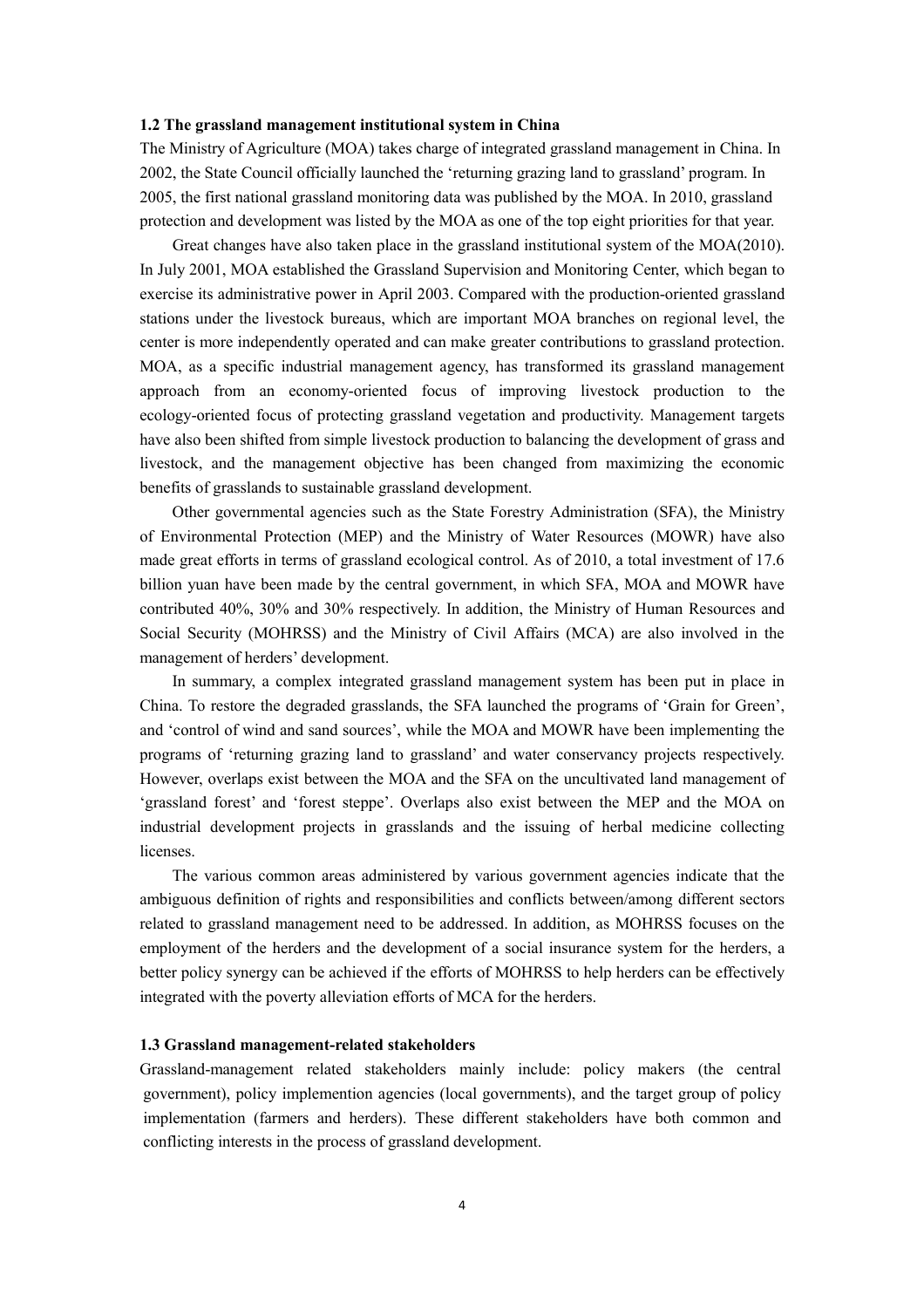#### **1.2 The grassland management institutional system in China**

 2002, the State Council officially launched the 'returning grazing land to grassland' program. In protection and development was listed by the MOA as one of the top eight priorities for that year. The Ministry of Agriculture (MOA) takes charge of integrated grassland management in China. In 2005, the first national grassland monitoring data was published by the MOA. In 2010, grassland

 Great changes have also taken place in the grassland institutional system of the MOA(2010). In July 2001, MOA established the Grassland Supervision and Monitoring Center, which began to exercise its administrative power in April 2003. Compared with the production-oriented grassland stations under the livestock bureaus, which are important MOA branches on regional level, the center is more independently operated and can make greater contributions to grassland protection. MOA, as a specific industrial management agency, has transformed its grassland management approach from an economy-oriented focus of improving livestock production to the ecology-oriented focus of protecting grassland vegetation and productivity. Management targets livestock, and the management objective has been changed from maximizing the economic have also been shifted from simple livestock production to balancing the development of grass and benefits of grasslands to sustainable grassland development.

 Other governmental agencies such as the State Forestry Administration (SFA), the Ministry of Environmental Protection (MEP) and the Ministry of Water Resources (MOWR) have also made great efforts in terms of grassland ecological control. As of 2010, a total investment of 17.6 billion yuan have been made by the central government, in which SFA, MOA and MOWR have contributed 40%, 30% and 30% respectively. In addition, the Ministry of Human Resources and Social Security (MOHRSS) and the Ministry of Civil Affairs (MCA) are also involved in the management of herders' development.

 In summary, a complex integrated grassland management system has been put in place in China. To restore the degraded grasslands, the SFA launched the programs of 'Grain for Green', and 'control of wind and sand sources', while the MOA and MOWR have been implementing the programs of 'returning grazing land to grassland' and water conservancy projects respectively. However, overlaps exist between the MOA and the SFA on the uncultivated land management of 'grassland forest' and 'forest steppe'. Overlaps also exist between the MEP and the MOA on industrial development projects in grasslands and the issuing of herbal medicine collecting **licenses** 

 The various common areas administered by various government agencies indicate that the ambiguous definition of rights and responsibilities and conflicts between/among different sectors related to grassland management need to be addressed. In addition, as MOHRSS focuses on the employment of the herders and the development of a social insurance system for the herders, a better policy synergy can be achieved if the efforts of MOHRSS to help herders can be effectively integrated with the poverty alleviation efforts of MCA for the herders.

#### **1.3 Grassland management-related stakeholders**

 Grassland-management related stakeholders mainly include: policy makers (the central government), policy implemention agencies (local governments), and the target group of policy implementation (farmers and herders). These different stakeholders have both common and conflicting interests in the process of grassland development.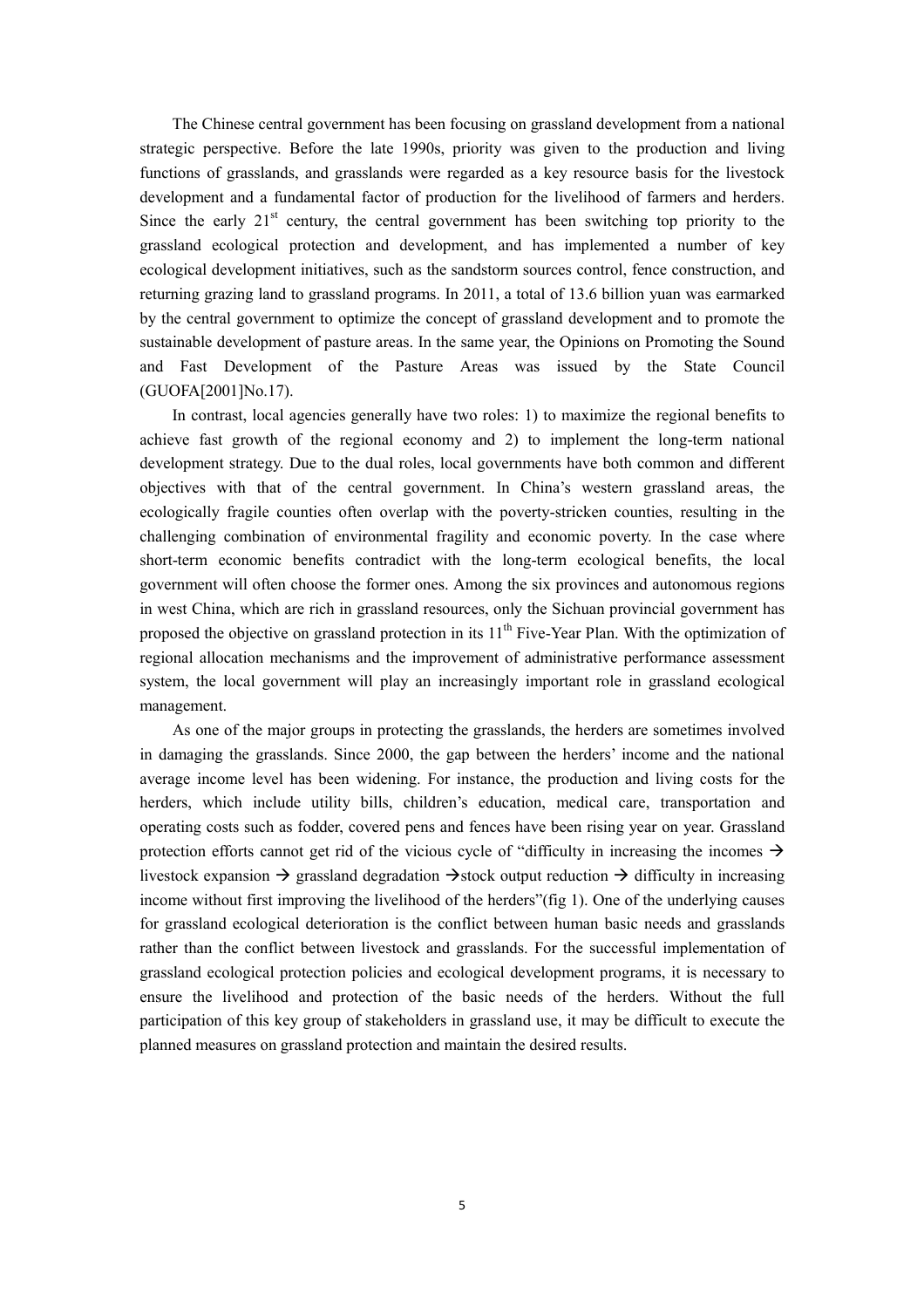strategic perspective. Before the late 1990s, priority was given to the production and living functions of grasslands, and grasslands were regarded as a key resource basis for the livestock development and a fundamental factor of production for the livelihood of farmers and herders. Since the early  $21<sup>st</sup>$  century, the central government has been switching top priority to the grassland ecological protection and development, and has implemented a number of key ecological development initiatives, such as the sandstorm sources control, fence construction, and returning grazing land to grassland programs. In 2011, a total of 13.6 billion yuan was earmarked by the central government to optimize the concept of grassland development and to promote the sustainable development of pasture areas. In the same year, the Opinions on Promoting the Sound and Fast Development of the Pasture Areas was issued by the State Council (GUOFA[2001]No.17). (GUOFA[2001]No.17). In contrast, local agencies generally have two roles: 1) to maximize the regional benefits to The Chinese central government has been focusing on grassland development from a national

 achieve fast growth of the regional economy and 2) to implement the long-term national development strategy. Due to the dual roles, local governments have both common and different objectives with that of the central government. In China's western grassland areas, the ecologically fragile counties often overlap with the poverty-stricken counties, resulting in the challenging combination of environmental fragility and economic poverty. In the case where short-term economic benefits contradict with the long-term ecological benefits, the local government will often choose the former ones. Among the six provinces and autonomous regions in west China, which are rich in grassland resources, only the Sichuan provincial government has proposed the objective on grassland protection in its  $11<sup>th</sup>$  Five-Year Plan. With the optimization of regional allocation mechanisms and the improvement of administrative performance assessment system, the local government will play an increasingly important role in grassland ecological management.

 As one of the major groups in protecting the grasslands, the herders are sometimes involved in damaging the grasslands. Since 2000, the gap between the herders' income and the national average income level has been widening. For instance, the production and living costs for the herders, which include utility bills, children's education, medical care, transportation and operating costs such as fodder, covered pens and fences have been rising year on year. Grassland protection efforts cannot get rid of the vicious cycle of "difficulty in increasing the incomes  $\rightarrow$ livestock expansion  $\rightarrow$  grassland degradation  $\rightarrow$  stock output reduction  $\rightarrow$  difficulty in increasing income without first improving the livelihood of the herders"(fig 1). One of the underlying causes for grassland ecological deterioration is the conflict between human basic needs and grasslands rather than the conflict between livestock and grasslands. For the successful implementation of grassland ecological protection policies and ecological development programs, it is necessary to ensure the livelihood and protection of the basic needs of the herders. Without the full participation of this key group of stakeholders in grassland use, it may be difficult to execute the planned measures on grassland protection and maintain the desired results.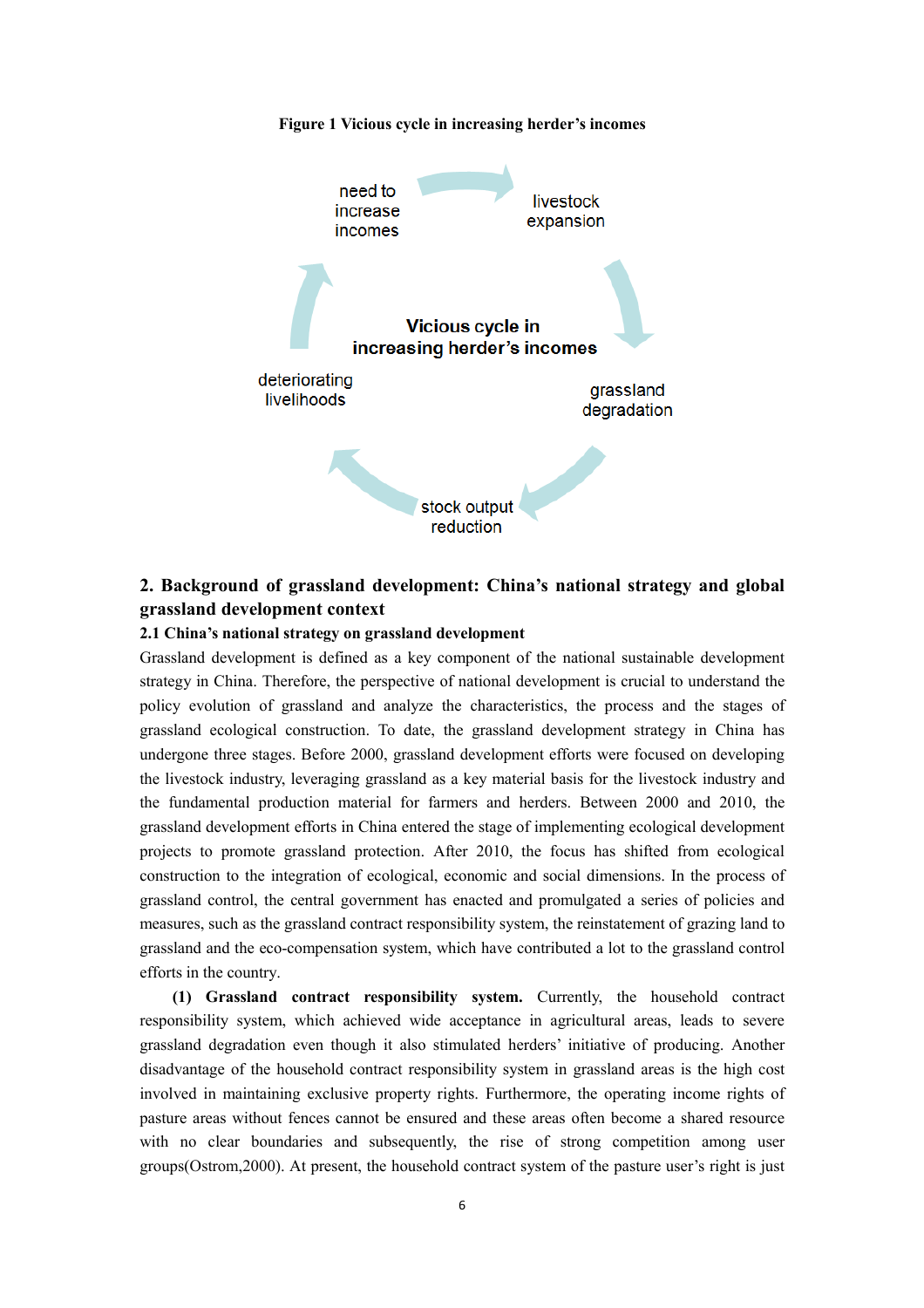

#### **2. Background of grassland development: China's national strategy and global grassland development context**

#### **2.1 China's national strategy on grassland development**

 Grassland development is defined as a key component of the national sustainable development strategy in China. Therefore, the perspective of national development is crucial to understand the policy evolution of grassland and analyze the characteristics, the process and the stages of grassland ecological construction. To date, the grassland development strategy in China has undergone three stages. Before 2000, grassland development efforts were focused on developing the livestock industry, leveraging grassland as a key material basis for the livestock industry and the fundamental production material for farmers and herders. Between 2000 and 2010, the grassland development efforts in China entered the stage of implementing ecological development projects to promote grassland protection. After 2010, the focus has shifted from ecological construction to the integration of ecological, economic and social dimensions. In the process of grassland control, the central government has enacted and promulgated a series of policies and grassland and the eco-compensation system, which have contributed a lot to the grassland control measures, such as the grassland contract responsibility system, the reinstatement of grazing land to efforts in the country.

 **(1) Grassland contract responsibility system.** Currently, the household contract responsibility system, which achieved wide acceptance in agricultural areas, leads to severe grassland degradation even though it also stimulated herders' initiative of producing. Another disadvantage of the household contract responsibility system in grassland areas is the high cost involved in maintaining exclusive property rights. Furthermore, the operating income rights of pasture areas without fences cannot be ensured and these areas often become a shared resource with no clear boundaries and subsequently, the rise of strong competition among user groups(Ostrom,2000). At present, the household contract system of the pasture user's right is just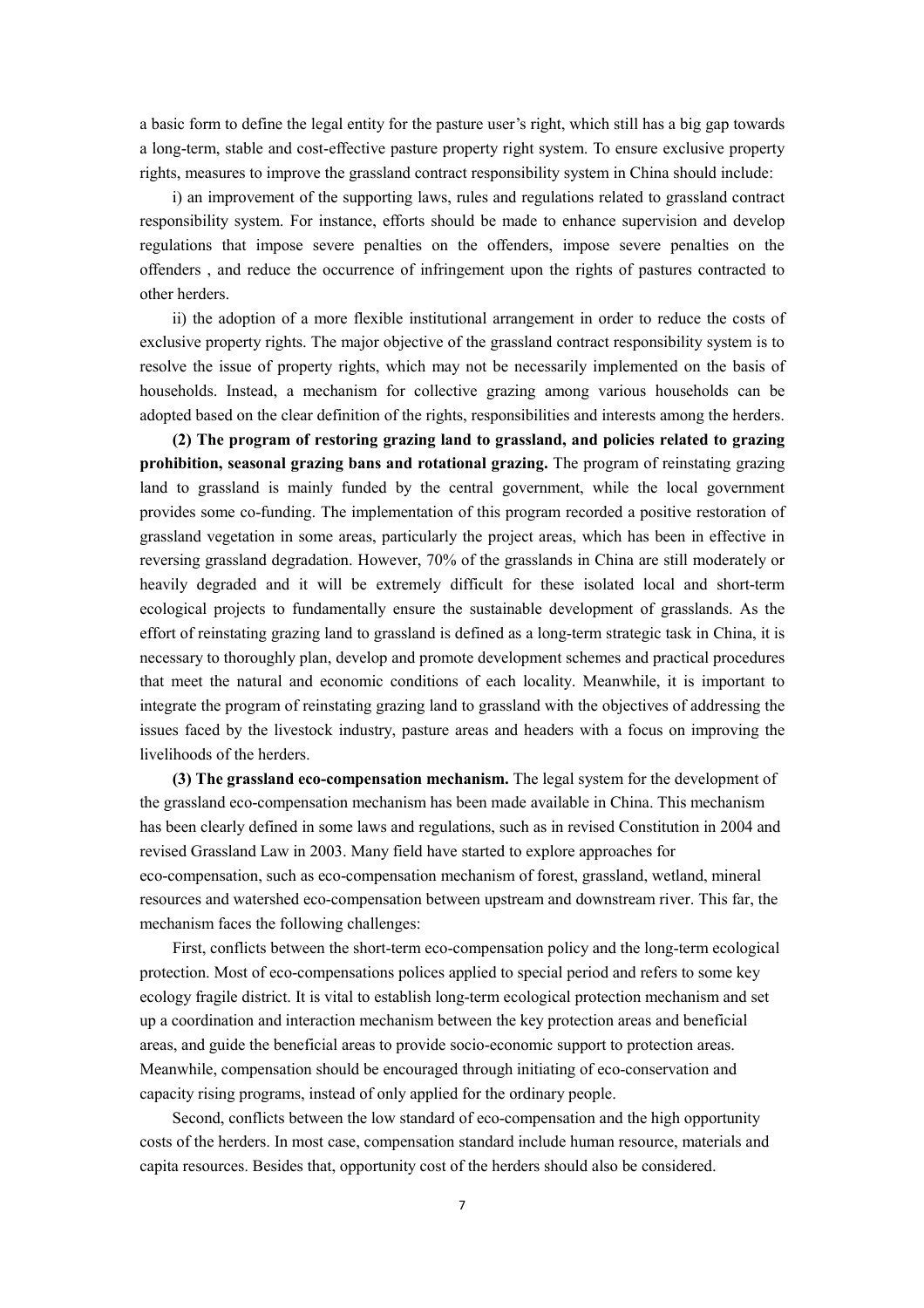a basic form to define the legal entity for the pasture user's right, which still has a big gap towards a long-term, stable and cost-effective pasture property right system. To ensure exclusive property rights, measures to improve the grassland contract responsibility system in China should include: i) an improvement of the supporting laws, rules and regulations related to grassland contract

i) an improvement of the supporting laws, rules and regulations related to grassland contract responsibility system. For instance, efforts should be made to enhance supervision and develop regulations that impose severe penalties on the offenders, impose severe penalties on the offenders , and reduce the occurrence of infringement upon the rights of pastures contracted to other herders.

 ii) the adoption of a more flexible institutional arrangement in order to reduce the costs of exclusive property rights. The major objective of the grassland contract responsibility system is to resolve the issue of property rights, which may not be necessarily implemented on the basis of households. Instead, a mechanism for collective grazing among various households can be adopted based on the clear definition of the rights, responsibilities and interests among the herders.

 **(2) The program of restoring grazing land to grassland, and policies related to grazing prohibition, seasonal grazing bans and rotational grazing.** The program of reinstating grazing land to grassland is mainly funded by the central government, while the local government provides some co-funding. The implementation of this program recorded a positive restoration of grassland vegetation in some areas, particularly the project areas, which has been in effective in reversing grassland degradation. However, 70% of the grasslands in China are still moderately or heavily degraded and it will be extremely difficult for these isolated local and short-term ecological projects to fundamentally ensure the sustainable development of grasslands. As the effort of reinstating grazing land to grassland is defined as a long-term strategic task in China, it is that meet the natural and economic conditions of each locality. Meanwhile, it is important to integrate the program of reinstating grazing land to grassland with the objectives of addressing the issues faced by the livestock industry, pasture areas and headers with a focus on improving the necessary to thoroughly plan, develop and promote development schemes and practical procedures livelihoods of the herders.

 the grassland eco-compensation mechanism has been made available in China. This mechanism **(3) The grassland eco-compensation mechanism.** The legal system for the development of has been clearly defined in some laws and regulations, such as in revised Constitution in 2004 and revised Grassland Law in 2003. Many field have started to explore approaches for eco-compensation, such as eco-compensation mechanism of forest, grassland, wetland, mineral resources and watershed eco-compensation between upstream and downstream river. This far, the mechanism faces the following challenges:

First, conflicts between the short-term eco-compensation policy and the long-term ecological protection. Most of eco-compensations polices applied to special period and refers to some key ecology fragile district. It is vital to establish long-term ecological protection mechanism and set up a coordination and interaction mechanism between the key protection areas and beneficial areas, and guide the beneficial areas to provide socio-economic support to protection areas. Meanwhile, compensation should be encouraged through initiating of eco-conservation and capacity rising programs, instead of only applied for the ordinary people.

Second, conflicts between the low standard of eco-compensation and the high opportunity costs of the herders. In most case, compensation standard include human resource, materials and capita resources. Besides that, opportunity cost of the herders should also be considered.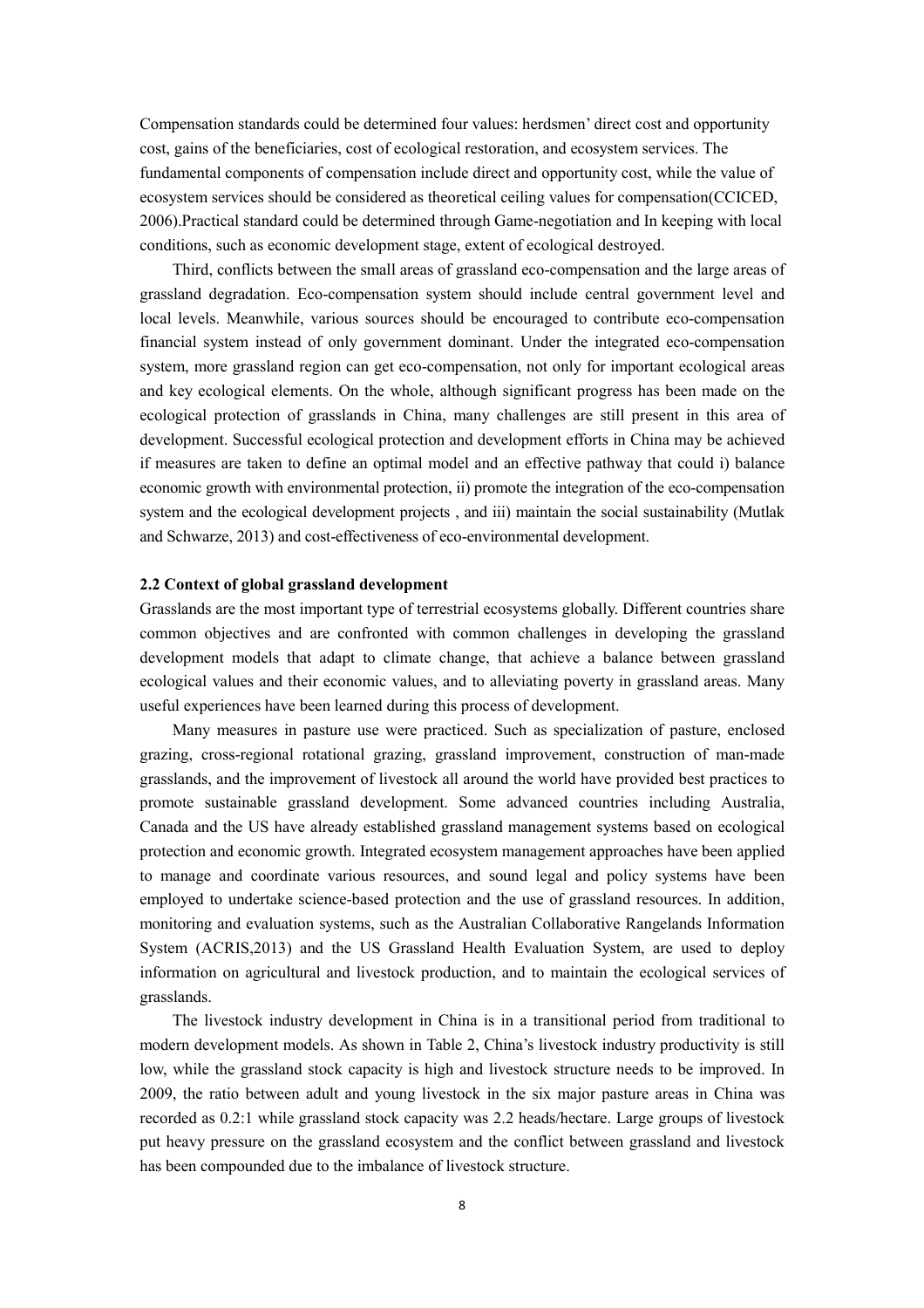Compensation standards could be determined four values: herdsmen' direct cost and opportunity cost, gains of the beneficiaries, cost of ecological restoration, and ecosystem services. The fundamental components of compensation include direct and opportunity cost, while the value of ecosystem services should be considered as theoretical ceiling values for compensation(CCICED, 2006).Practical standard could be determined through Game-negotiation and In keeping with local conditions, such as economic development stage, extent of ecological destroyed.

 Third, conflicts between the small areas of grassland eco-compensation and the large areas of grassland degradation. Eco-compensation system should include central government level and local levels. Meanwhile, various sources should be encouraged to contribute eco-compensation financial system instead of only government dominant. Under the integrated eco-compensation system, more grassland region can get eco-compensation, not only for important ecological areas and key ecological elements. On the whole, although significant progress has been made on the ecological protection of grasslands in China, many challenges are still present in this area of development. Successful ecological protection and development efforts in China may be achieved if measures are taken to define an optimal model and an effective pathway that could i) balance economic growth with environmental protection, ii) promote the integration of the eco-compensation system and the ecological development projects, and iii) maintain the social sustainability (Mutlak and Schwarze, 2013) and cost-effectiveness of eco-environmental development.

#### **2.2 Context of global grassland development**

 common objectives and are confronted with common challenges in developing the grassland development models that adapt to climate change, that achieve a balance between grassland ecological values and their economic values, and to alleviating poverty in grassland areas. Many Grasslands are the most important type of terrestrial ecosystems globally. Different countries share useful experiences have been learned during this process of development.

 Many measures in pasture use were practiced. Such as specialization of pasture, enclosed grazing, cross-regional rotational grazing, grassland improvement, construction of man-made grasslands, and the improvement of livestock all around the world have provided best practices to promote sustainable grassland development. Some advanced countries including Australia, Canada and the US have already established grassland management systems based on ecological to manage and coordinate various resources, and sound legal and policy systems have been employed to undertake science-based protection and the use of grassland resources. In addition, monitoring and evaluation systems, such as the Australian Collaborative Rangelands Information System (ACRIS,2013) and the US Grassland Health Evaluation System, are used to deploy information on agricultural and livestock production, and to maintain the ecological services of protection and economic growth. Integrated ecosystem management approaches have been applied grasslands.

 The livestock industry development in China is in a transitional period from traditional to modern development models. As shown in Table 2, China's livestock industry productivity is still low, while the grassland stock capacity is high and livestock structure needs to be improved. In 2009, the ratio between adult and young livestock in the six major pasture areas in China was recorded as 0.2:1 while grassland stock capacity was 2.2 heads/hectare. Large groups of livestock put heavy pressure on the grassland ecosystem and the conflict between grassland and livestock has been compounded due to the imbalance of livestock structure.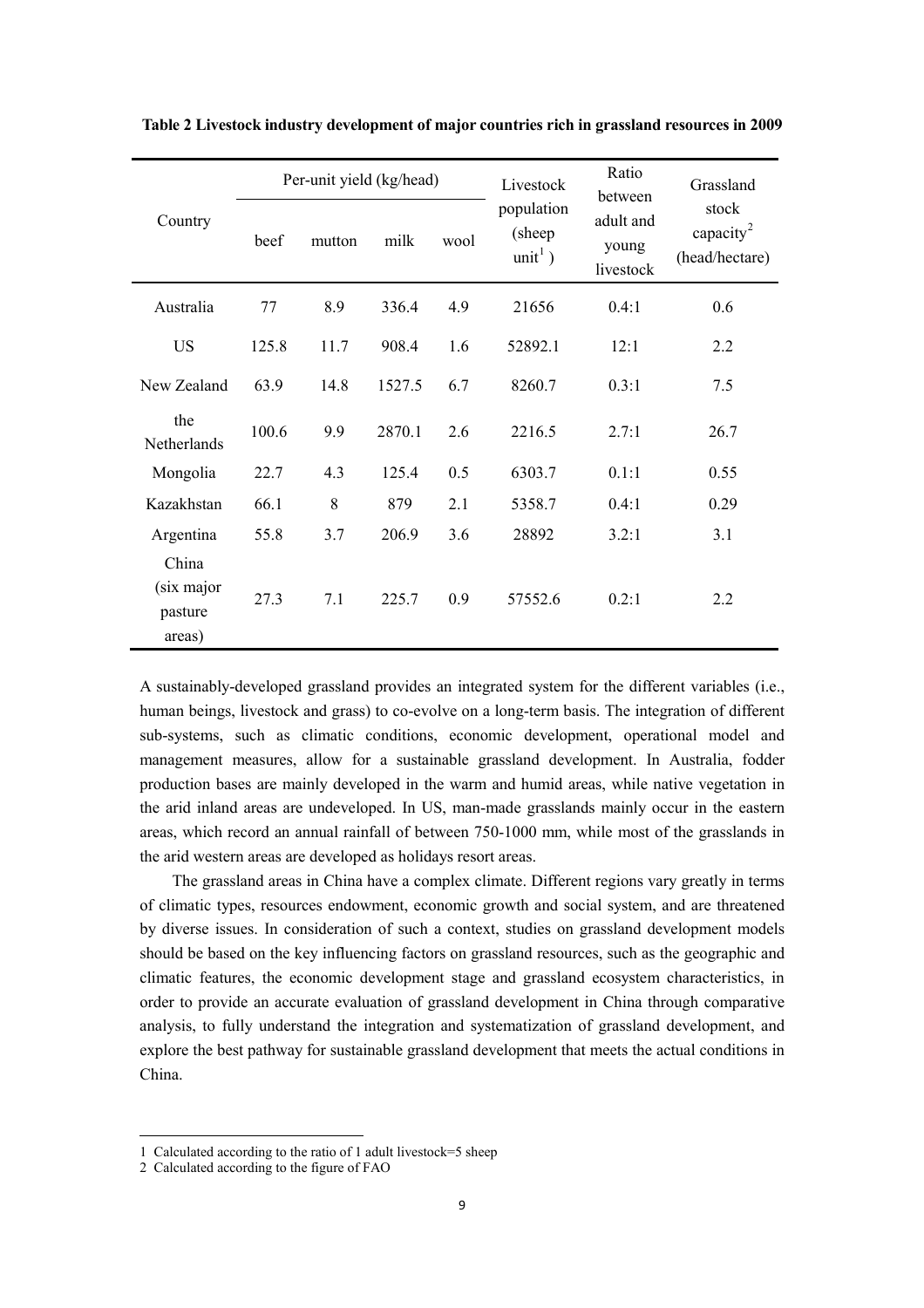|                                                                                                    | Per-unit yield (kg/head) |                        |        |                                             | Livestock                       | Ratio<br>between                                 | Grassland |  |
|----------------------------------------------------------------------------------------------------|--------------------------|------------------------|--------|---------------------------------------------|---------------------------------|--------------------------------------------------|-----------|--|
| Country                                                                                            | beef                     | milk<br>wool<br>mutton |        | population<br>(sheep<br>unit <sup>1</sup> ) | adult and<br>young<br>livestock | stock<br>capacity <sup>2</sup><br>(head/hectare) |           |  |
| Australia                                                                                          | 77                       | 8.9                    | 336.4  | 4.9                                         | 21656                           | 0.4:1                                            | 0.6       |  |
| <b>US</b>                                                                                          | 125.8                    | 11.7                   | 908.4  | 1.6                                         | 52892.1                         | 12:1                                             | 2.2       |  |
| New Zealand                                                                                        | 63.9                     | 14.8                   | 1527.5 | 6.7                                         | 8260.7                          | 0.3:1                                            | 7.5       |  |
| the<br>Netherlands                                                                                 | 100.6                    | 9.9                    | 2870.1 | 2.6                                         | 2216.5                          | 2.7:1                                            | 26.7      |  |
| Mongolia                                                                                           | 22.7                     | 4.3                    | 125.4  | 0.5                                         | 6303.7                          | 0.1:1                                            | 0.55      |  |
| Kazakhstan                                                                                         | 66.1                     | 8                      | 879    | 2.1                                         | 5358.7                          | 0.4:1                                            | 0.29      |  |
| Argentina                                                                                          | 55.8                     | 3.7                    | 206.9  | 3.6                                         | 28892                           | 3.2:1                                            | 3.1       |  |
| China<br>(six major<br>pasture<br>areas)                                                           | 27.3                     | 7.1                    | 225.7  | 0.9                                         | 57552.6                         | 0.2:1                                            | 2.2       |  |
| A sustainably-developed grassland provides an integrated system for the different variables (i.e., |                          |                        |        |                                             |                                 |                                                  |           |  |

 **Table 2 Livestock industry development of major countries rich in grassland resources in 2009** 

 human beings, livestock and grass) to co-evolve on a long-term basis. The integration of different sub-systems, such as climatic conditions, economic development, operational model and management measures, allow for a sustainable grassland development. In Australia, fodder production bases are mainly developed in the warm and humid areas, while native vegetation in the arid inland areas are undeveloped. In US, man-made grasslands mainly occur in the eastern areas, which record an annual rainfall of between 750-1000 mm, while most of the grasslands in the arid western areas are developed as holidays resort areas.

 The grassland areas in China have a complex climate. Different regions vary greatly in terms of climatic types, resources endowment, economic growth and social system, and are threatened by diverse issues. In consideration of such a context, studies on grassland development models should be based on the key influencing factors on grassland resources, such as the geographic and climatic features, the economic development stage and grassland ecosystem characteristics, in order to provide an accurate evaluation of grassland development in China through comparative analysis, to fully understand the integration and systematization of grassland development, and explore the best pathway for sustainable grassland development that meets the actual conditions in China.

<span id="page-9-1"></span> 1 Calculated according to the ratio of 1 adult livestock=5 sheep

<span id="page-9-0"></span> 2 Calculated according to the figure of FAO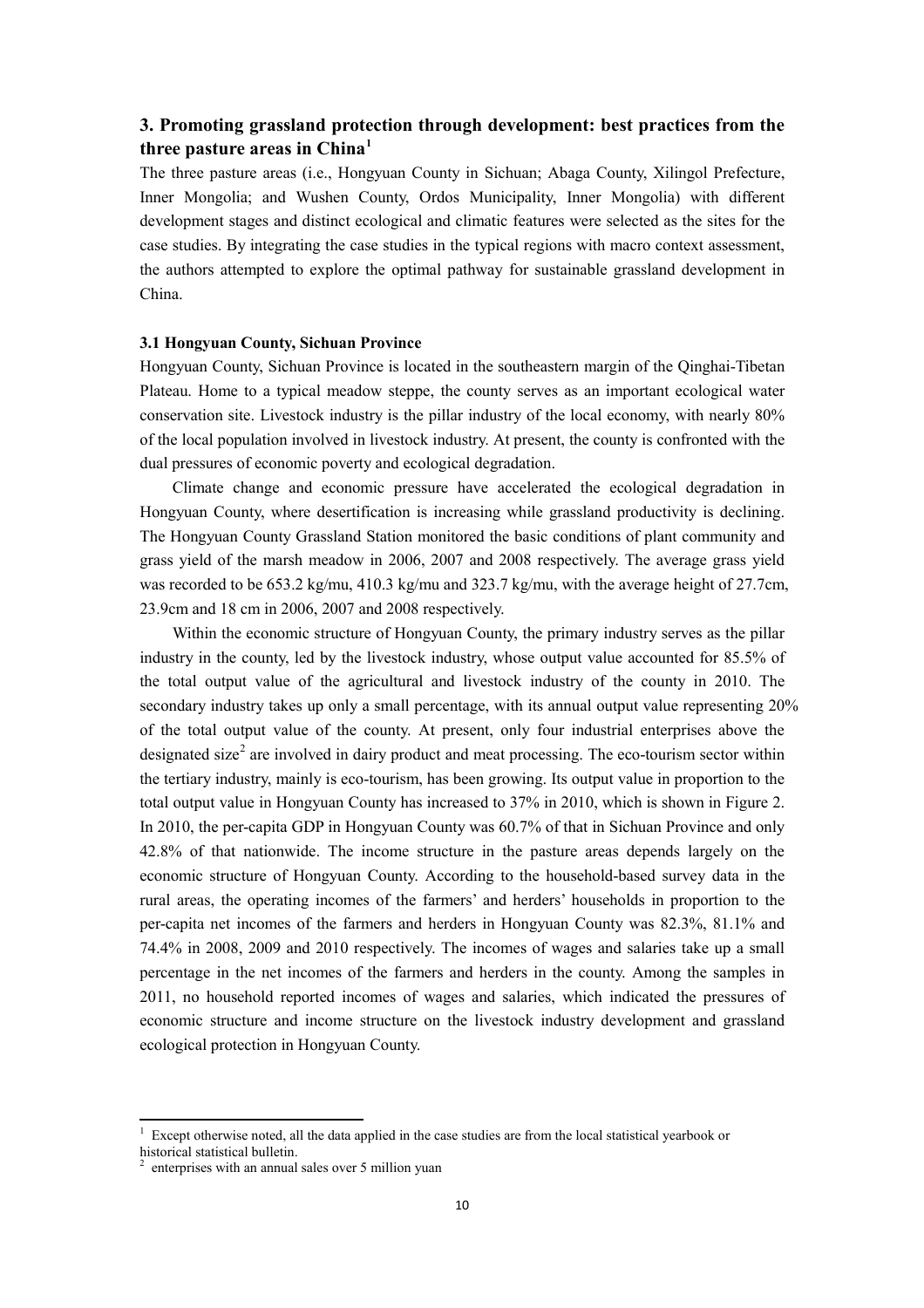#### **3. Promoting grassland protection through development: best practices from the three pasture areas in China[1](#page-10-1)**

 The three pasture areas (i.e., Hongyuan County in Sichuan; Abaga County, Xilingol Prefecture, Inner Mongolia; and Wushen County, Ordos Municipality, Inner Mongolia) with different development stages and distinct ecological and climatic features were selected as the sites for the case studies. By integrating the case studies in the typical regions with macro context assessment, the authors attempted to explore the optimal pathway for sustainable grassland development in China.

#### **3.1 Hongyuan County, Sichuan Province**

 Hongyuan County, Sichuan Province is located in the southeastern margin of the Qinghai-Tibetan Plateau. Home to a typical meadow steppe, the county serves as an important ecological water conservation site. Livestock industry is the pillar industry of the local economy, with nearly 80% of the local population involved in livestock industry. At present, the county is confronted with the dual pressures of economic poverty and ecological degradation.

 Climate change and economic pressure have accelerated the ecological degradation in The Hongyuan County Grassland Station monitored the basic conditions of plant community and grass yield of the marsh meadow in 2006, 2007 and 2008 respectively. The average grass yield Hongyuan County, where desertification is increasing while grassland productivity is declining. was recorded to be 653.2 kg/mu, 410.3 kg/mu and 323.7 kg/mu, with the average height of 27.7cm, 23.9cm and 18 cm in 2006, 2007 and 2008 respectively.

 Within the economic structure of Hongyuan County, the primary industry serves as the pillar industry in the county, led by the livestock industry, whose output value accounted for 85.5% of the total output value of the agricultural and livestock industry of the county in 2010. The secondary industry takes up only a small percentage, with its annual output value representing 20% of the total output value of the county. At present, only four industrial enterprises above the designated size<sup>[2](#page-10-0)</sup> are involved in dairy product and meat processing. The eco-tourism sector within the tertiary industry, mainly is eco-tourism, has been growing. Its output value in proportion to the total output value in Hongyuan County has increased to 37% in 2010, which is shown in Figure 2. In 2010, the per-capita GDP in Hongyuan County was 60.7% of that in Sichuan Province and only 42.8% of that nationwide. The income structure in the pasture areas depends largely on the economic structure of Hongyuan County. According to the household-based survey data in the rural areas, the operating incomes of the farmers' and herders' households in proportion to the per-capita net incomes of the farmers and herders in Hongyuan County was 82.3%, 81.1% and 74.4% in 2008, 2009 and 2010 respectively. The incomes of wages and salaries take up a small percentage in the net incomes of the farmers and herders in the county. Among the samples in 2011, no household reported incomes of wages and salaries, which indicated the pressures of economic structure and income structure on the livestock industry development and grassland ecological protection in Hongyuan County.

<span id="page-10-1"></span> historical statistical bulletin. Except otherwise noted, all the data applied in the case studies are from the local statistical yearbook or

<span id="page-10-0"></span> $2$  enterprises with an annual sales over 5 million yuan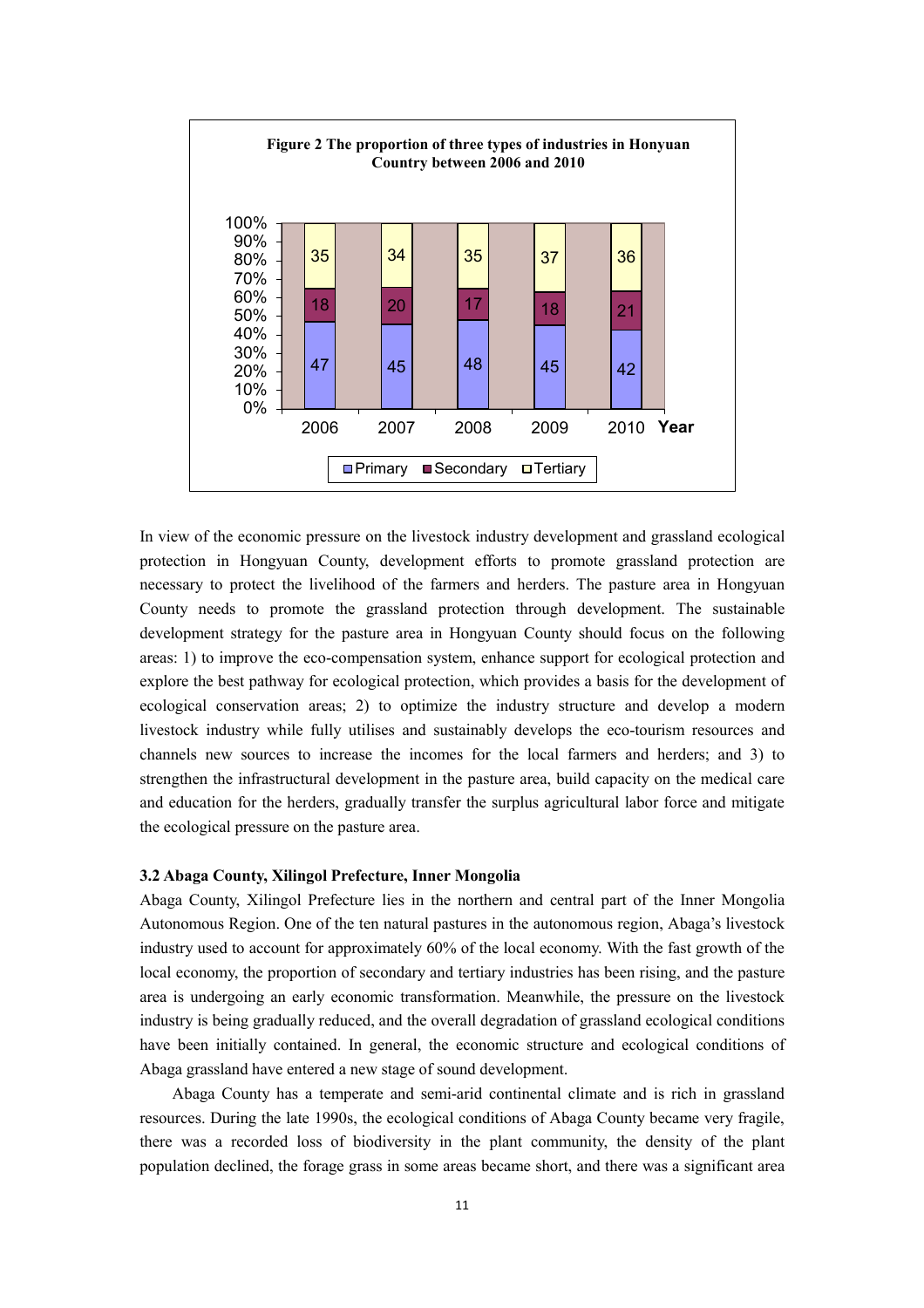

 In view of the economic pressure on the livestock industry development and grassland ecological protection in Hongyuan County, development efforts to promote grassland protection are necessary to protect the livelihood of the farmers and herders. The pasture area in Hongyuan County needs to promote the grassland protection through development. The sustainable development strategy for the pasture area in Hongyuan County should focus on the following areas: 1) to improve the eco-compensation system, enhance support for ecological protection and explore the best pathway for ecological protection, which provides a basis for the development of ecological conservation areas; 2) to optimize the industry structure and develop a modern livestock industry while fully utilises and sustainably develops the eco-tourism resources and channels new sources to increase the incomes for the local farmers and herders; and 3) to strengthen the infrastructural development in the pasture area, build capacity on the medical care and education for the herders, gradually transfer the surplus agricultural labor force and mitigate the ecological pressure on the pasture area.

#### **3.2 Abaga County, Xilingol Prefecture, Inner Mongolia**

 Abaga County, Xilingol Prefecture lies in the northern and central part of the Inner Mongolia Autonomous Region. One of the ten natural pastures in the autonomous region, Abaga's livestock industry used to account for approximately 60% of the local economy. With the fast growth of the local economy, the proportion of secondary and tertiary industries has been rising, and the pasture area is undergoing an early economic transformation. Meanwhile, the pressure on the livestock industry is being gradually reduced, and the overall degradation of grassland ecological conditions have been initially contained. In general, the economic structure and ecological conditions of Abaga grassland have entered a new stage of sound development.

 Abaga County has a temperate and semi-arid continental climate and is rich in grassland resources. During the late 1990s, the ecological conditions of Abaga County became very fragile, there was a recorded loss of biodiversity in the plant community, the density of the plant population declined, the forage grass in some areas became short, and there was a significant area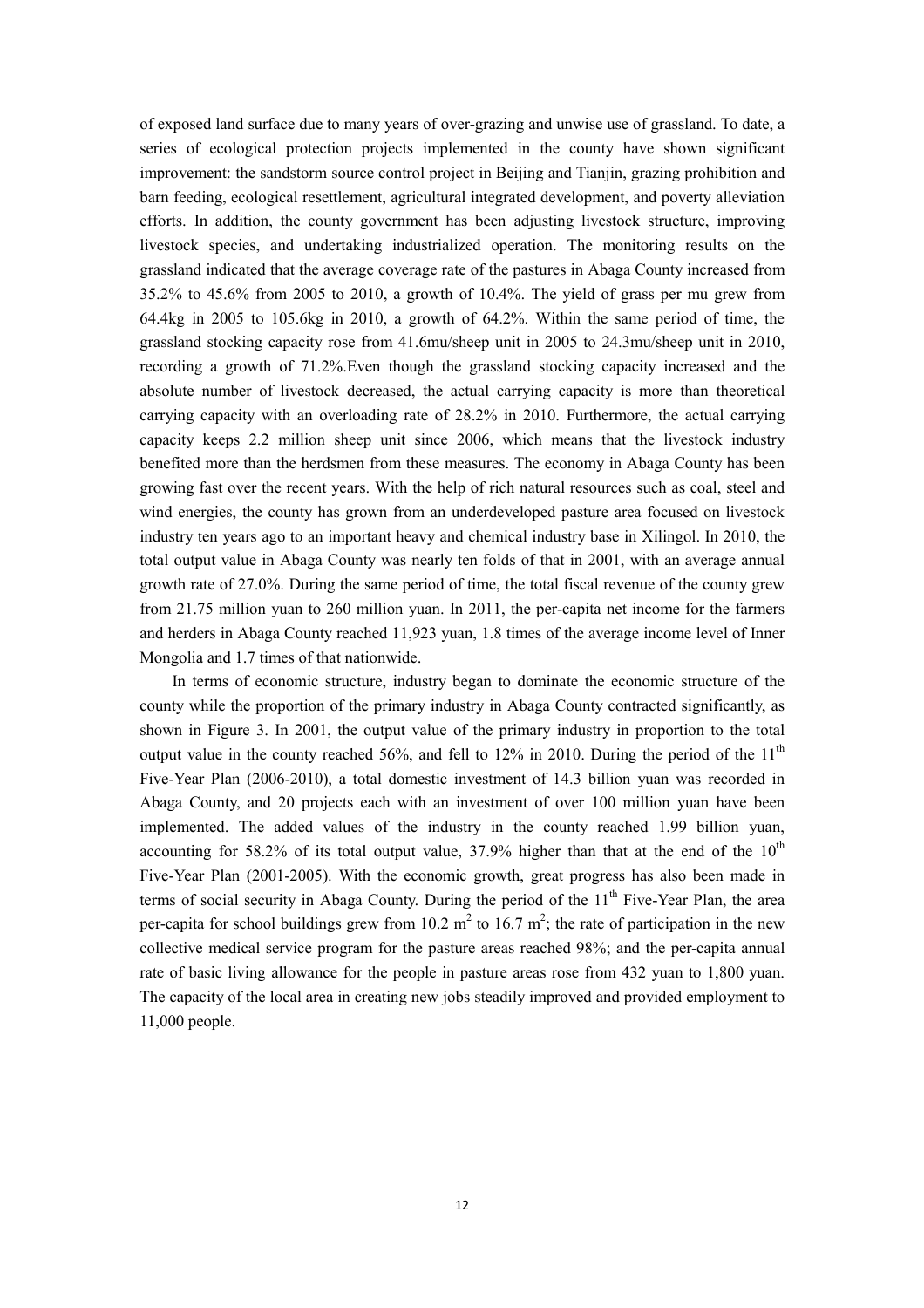of exposed land surface due to many years of over-grazing and unwise use of grassland. To date, a series of ecological protection projects implemented in the county have shown significant improvement: the sandstorm source control project in Beijing and Tianjin, grazing prohibition and barn feeding, ecological resettlement, agricultural integrated development, and poverty alleviation efforts. In addition, the county government has been adjusting livestock structure, improving livestock species, and undertaking industrialized operation. The monitoring results on the grassland indicated that the average coverage rate of the pastures in Abaga County increased from 35.2% to 45.6% from 2005 to 2010, a growth of 10.4%. The yield of grass per mu grew from 64.4kg in 2005 to 105.6kg in 2010, a growth of 64.2%. Within the same period of time, the grassland stocking capacity rose from 41.6mu/sheep unit in 2005 to 24.3mu/sheep unit in 2010, recording a growth of 71.2%.Even though the grassland stocking capacity increased and the absolute number of livestock decreased, the actual carrying capacity is more than theoretical carrying capacity with an overloading rate of 28.2% in 2010. Furthermore, the actual carrying capacity keeps 2.2 million sheep unit since 2006, which means that the livestock industry benefited more than the herdsmen from these measures. The economy in Abaga County has been growing fast over the recent years. With the help of rich natural resources such as coal, steel and wind energies, the county has grown from an underdeveloped pasture area focused on livestock industry ten years ago to an important heavy and chemical industry base in Xilingol. In 2010, the total output value in Abaga County was nearly ten folds of that in 2001, with an average annual growth rate of 27.0%. During the same period of time, the total fiscal revenue of the county grew from 21.75 million yuan to 260 million yuan. In 2011, the per-capita net income for the farmers and herders in Abaga County reached 11,923 yuan, 1.8 times of the average income level of Inner Mongolia and 1.7 times of that nationwide.

 In terms of economic structure, industry began to dominate the economic structure of the county while the proportion of the primary industry in Abaga County contracted significantly, as shown in Figure 3. In 2001, the output value of the primary industry in proportion to the total output value in the county reached 56%, and fell to 12% in 2010. During the period of the  $11<sup>th</sup>$  Five-Year Plan (2006-2010), a total domestic investment of 14.3 billion yuan was recorded in Abaga County, and 20 projects each with an investment of over 100 million yuan have been implemented. The added values of the industry in the county reached 1.99 billion yuan, accounting for 58.2% of its total output value, 37.9% higher than that at the end of the  $10^{th}$  Five-Year Plan (2001-2005). With the economic growth, great progress has also been made in terms of social security in Abaga County. During the period of the 11<sup>th</sup> Five-Year Plan, the area per-capita for school buildings grew from 10.2  $m^2$  to 16.7  $m^2$ ; the rate of participation in the new collective medical service program for the pasture areas reached 98%; and the per-capita annual rate of basic living allowance for the people in pasture areas rose from 432 yuan to 1,800 yuan. The capacity of the local area in creating new jobs steadily improved and provided employment to 11,000 people.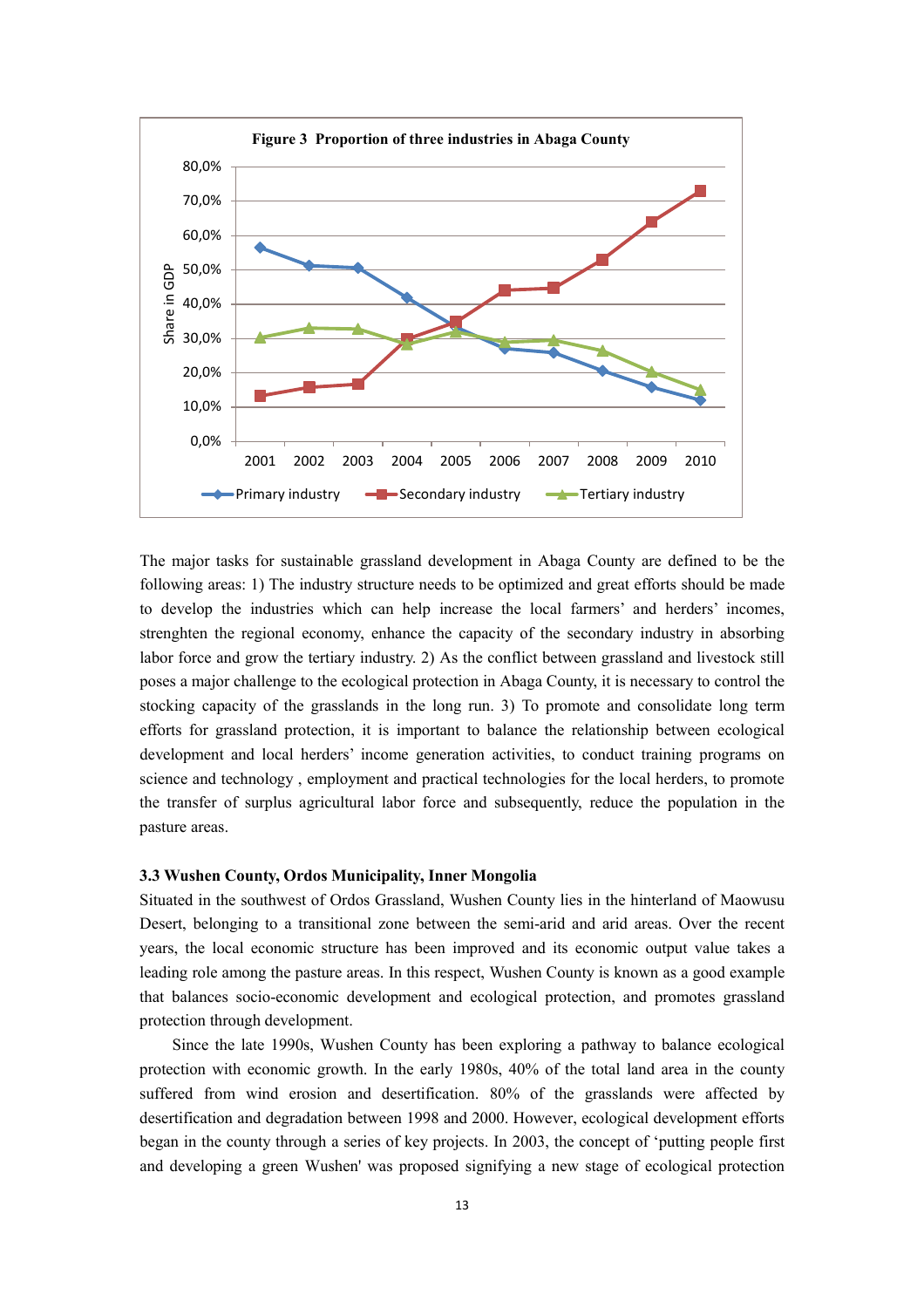

 The major tasks for sustainable grassland development in Abaga County are defined to be the following areas: 1) The industry structure needs to be optimized and great efforts should be made to develop the industries which can help increase the local farmers' and herders' incomes, strenghten the regional economy, enhance the capacity of the secondary industry in absorbing labor force and grow the tertiary industry. 2) As the conflict between grassland and livestock still poses a major challenge to the ecological protection in Abaga County, it is necessary to control the stocking capacity of the grasslands in the long run. 3) To promote and consolidate long term efforts for grassland protection, it is important to balance the relationship between ecological development and local herders' income generation activities, to conduct training programs on science and technology , employment and practical technologies for the local herders, to promote the transfer of surplus agricultural labor force and subsequently, reduce the population in the pasture areas.

#### **3.3 Wushen County, Ordos Municipality, Inner Mongolia**

 Situated in the southwest of Ordos Grassland, Wushen County lies in the hinterland of Maowusu Desert, belonging to a transitional zone between the semi-arid and arid areas. Over the recent years, the local economic structure has been improved and its economic output value takes a leading role among the pasture areas. In this respect, Wushen County is known as a good example that balances socio-economic development and ecological protection, and promotes grassland protection through development.

 Since the late 1990s, Wushen County has been exploring a pathway to balance ecological protection with economic growth. In the early 1980s, 40% of the total land area in the county suffered from wind erosion and desertification. 80% of the grasslands were affected by desertification and degradation between 1998 and 2000. However, ecological development efforts began in the county through a series of key projects. In 2003, the concept of 'putting people first and developing a green Wushen' was proposed signifying a new stage of ecological protection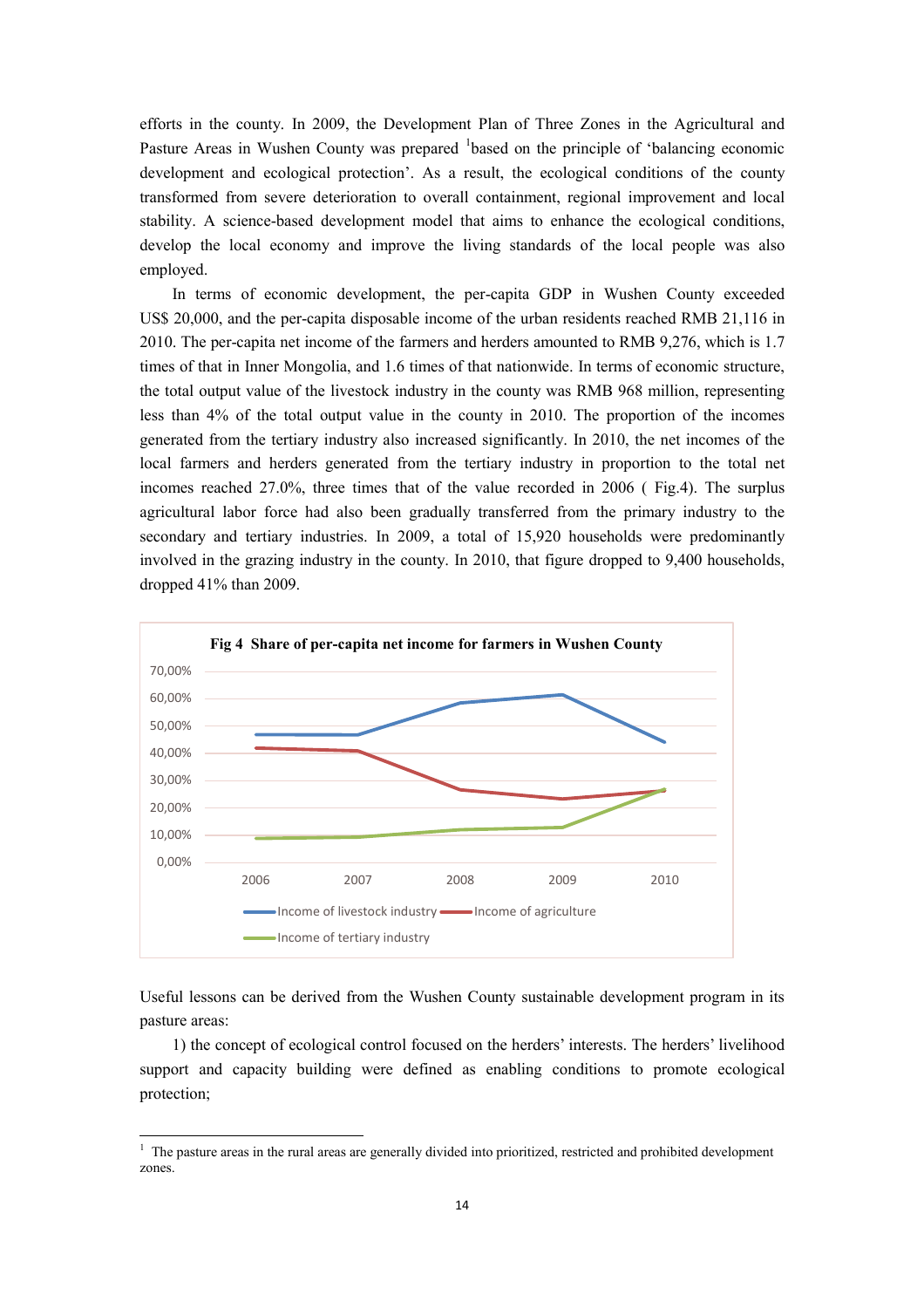efforts in the county. In 2009, the Development Plan of Three Zones in the Agricultural and Pasture Areas in Wushen County was prepared <sup>[1](#page-14-0)</sup>based on the principle of 'balancing economic development and ecological protection'. As a result, the ecological conditions of the county transformed from severe deterioration to overall containment, regional improvement and local stability. A science-based development model that aims to enhance the ecological conditions, develop the local economy and improve the living standards of the local people was also employed.

 In terms of economic development, the per-capita GDP in Wushen County exceeded US\$ 20,000, and the per-capita disposable income of the urban residents reached RMB 21,116 in 2010. The per-capita net income of the farmers and herders amounted to RMB 9,276, which is 1.7 times of that in Inner Mongolia, and 1.6 times of that nationwide. In terms of economic structure, the total output value of the livestock industry in the county was RMB 968 million, representing less than 4% of the total output value in the county in 2010. The proportion of the incomes generated from the tertiary industry also increased significantly. In 2010, the net incomes of the local farmers and herders generated from the tertiary industry in proportion to the total net incomes reached 27.0%, three times that of the value recorded in 2006 ( Fig.4). The surplus agricultural labor force had also been gradually transferred from the primary industry to the secondary and tertiary industries. In 2009, a total of 15,920 households were predominantly involved in the grazing industry in the county. In 2010, that figure dropped to 9,400 households, dropped 41% than 2009.



 Useful lessons can be derived from the Wushen County sustainable development program in its pasture areas: pasture areas: 1) the concept of ecological control focused on the herders' interests. The herders' livelihood

 support and capacity building were defined as enabling conditions to promote ecological protection; protection;<br><sup>1</sup> The pasture areas in the rural areas are generally divided into prioritized, restricted and prohibited development

<span id="page-14-0"></span>zones.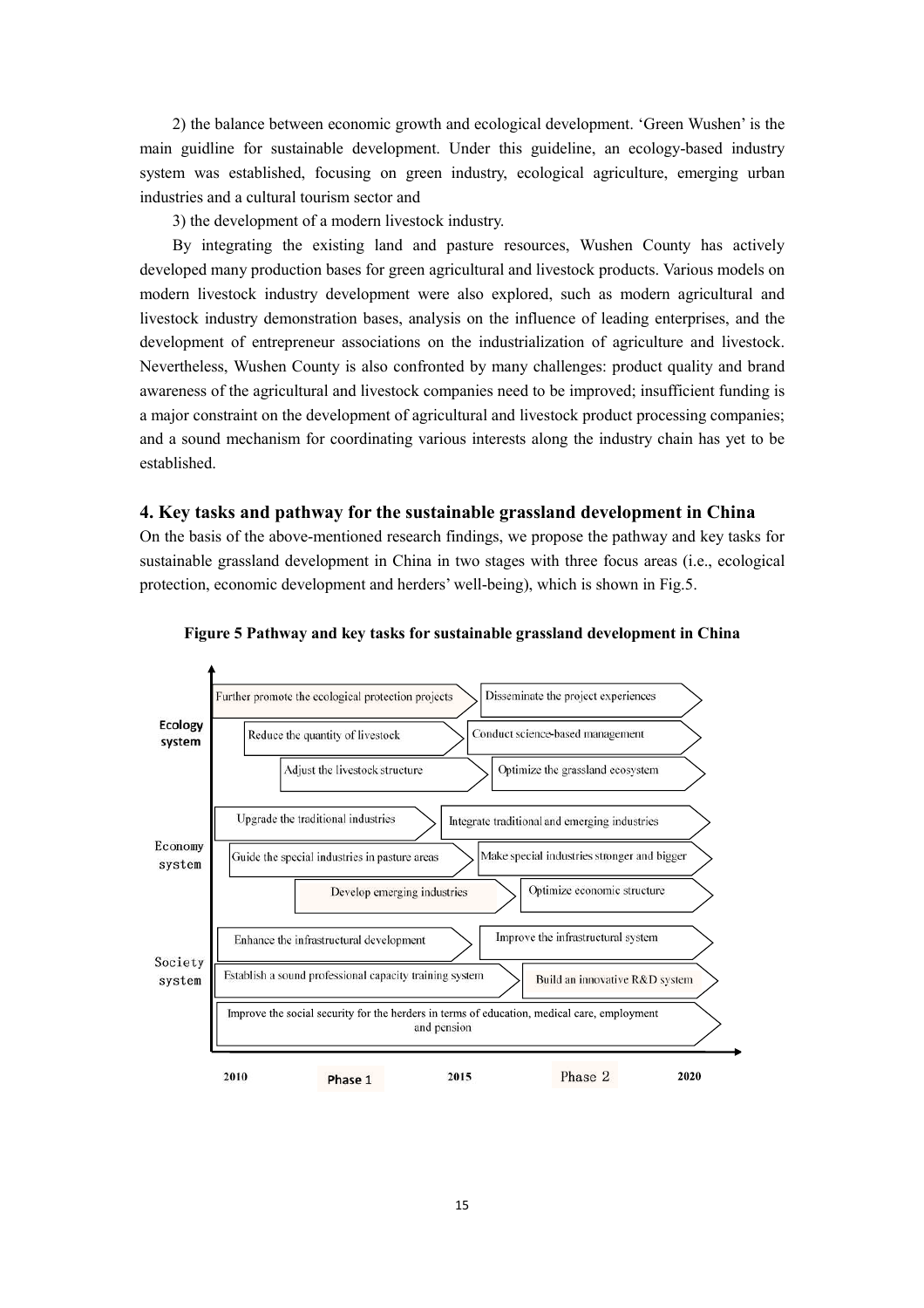2) the balance between economic growth and ecological development. 'Green Wushen' is the main guidline for sustainable development. Under this guideline, an ecology-based industry system was established, focusing on green industry, ecological agriculture, emerging urban industries and a cultural tourism sector and

3) the development of a modern livestock industry.

 By integrating the existing land and pasture resources, Wushen County has actively modern livestock industry development were also explored, such as modern agricultural and livestock industry demonstration bases, analysis on the influence of leading enterprises, and the development of entrepreneur associations on the industrialization of agriculture and livestock. Nevertheless, Wushen County is also confronted by many challenges: product quality and brand awareness of the agricultural and livestock companies need to be improved; insufficient funding is and a sound mechanism for coordinating various interests along the industry chain has yet to be developed many production bases for green agricultural and livestock products. Various models on a major constraint on the development of agricultural and livestock product processing companies; established.

#### **4. Key tasks and pathway for the sustainable grassland development in China**

 On the basis of the above-mentioned research findings, we propose the pathway and key tasks for sustainable grassland development in China in two stages with three focus areas (i.e., ecological protection, economic development and herders' well-being), which is shown in Fig.5.



 **Figure 5 Pathway and key tasks for sustainable grassland development in China**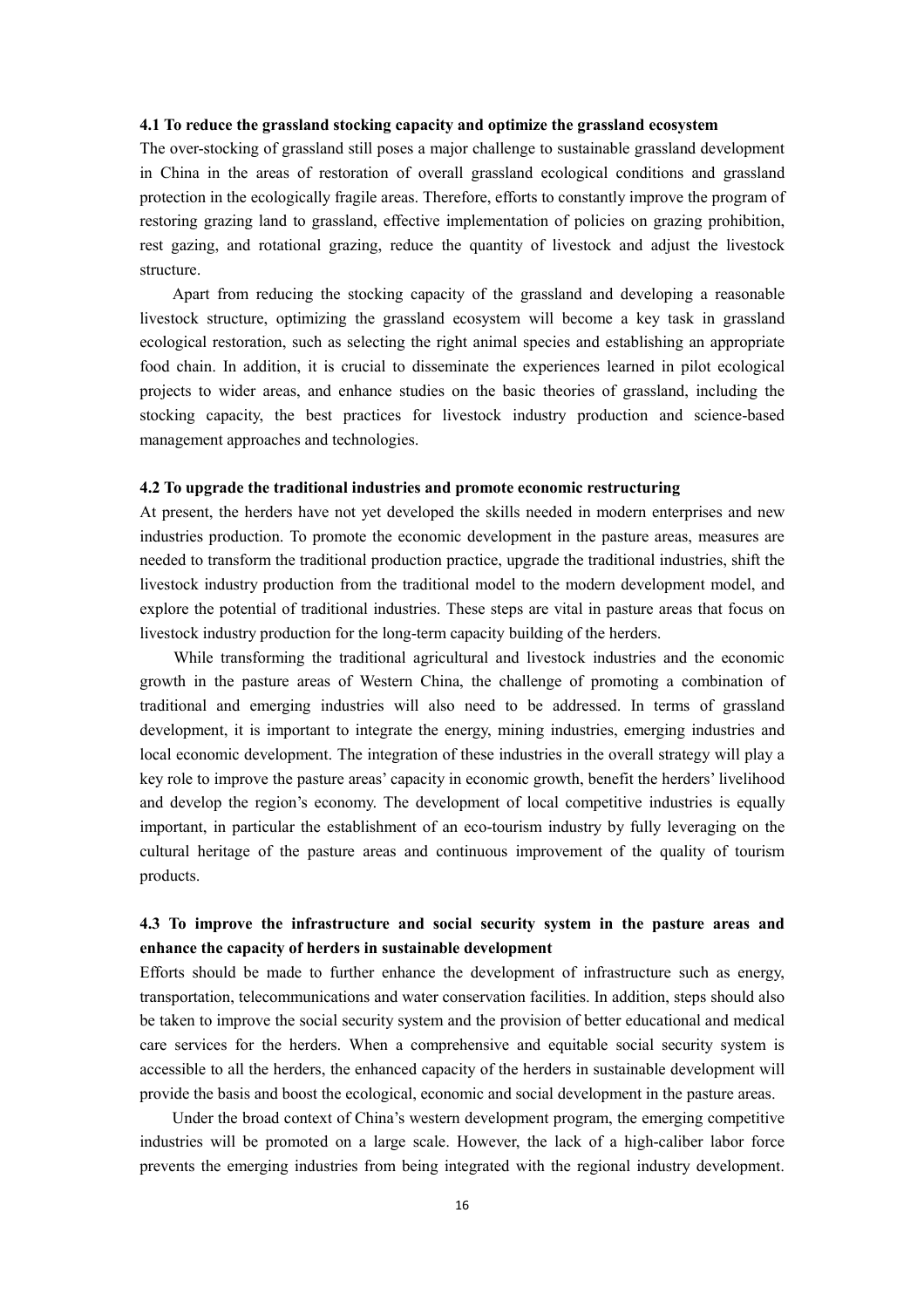#### **4.1 To reduce the grassland stocking capacity and optimize the grassland ecosystem**

 The over-stocking of grassland still poses a major challenge to sustainable grassland development in China in the areas of restoration of overall grassland ecological conditions and grassland restoring grazing land to grassland, effective implementation of policies on grazing prohibition, rest gazing, and rotational grazing, reduce the quantity of livestock and adjust the livestock protection in the ecologically fragile areas. Therefore, efforts to constantly improve the program of structure.

 Apart from reducing the stocking capacity of the grassland and developing a reasonable livestock structure, optimizing the grassland ecosystem will become a key task in grassland ecological restoration, such as selecting the right animal species and establishing an appropriate food chain. In addition, it is crucial to disseminate the experiences learned in pilot ecological projects to wider areas, and enhance studies on the basic theories of grassland, including the stocking capacity, the best practices for livestock industry production and science-based management approaches and technologies.

#### **4.2 To upgrade the traditional industries and promote economic restructuring**

 At present, the herders have not yet developed the skills needed in modern enterprises and new industries production. To promote the economic development in the pasture areas, measures are needed to transform the traditional production practice, upgrade the traditional industries, shift the livestock industry production from the traditional model to the modern development model, and explore the potential of traditional industries. These steps are vital in pasture areas that focus on livestock industry production for the long-term capacity building of the herders.

 While transforming the traditional agricultural and livestock industries and the economic growth in the pasture areas of Western China, the challenge of promoting a combination of traditional and emerging industries will also need to be addressed. In terms of grassland development, it is important to integrate the energy, mining industries, emerging industries and local economic development. The integration of these industries in the overall strategy will play a key role to improve the pasture areas' capacity in economic growth, benefit the herders' livelihood and develop the region's economy. The development of local competitive industries is equally important, in particular the establishment of an eco-tourism industry by fully leveraging on the cultural heritage of the pasture areas and continuous improvement of the quality of tourism products.

#### **4.3 To improve the infrastructure and social security system in the pasture areas and enhance the capacity of herders in sustainable development**

 Efforts should be made to further enhance the development of infrastructure such as energy, be taken to improve the social security system and the provision of better educational and medical care services for the herders. When a comprehensive and equitable social security system is accessible to all the herders, the enhanced capacity of the herders in sustainable development will transportation, telecommunications and water conservation facilities. In addition, steps should also provide the basis and boost the ecological, economic and social development in the pasture areas.

 Under the broad context of China's western development program, the emerging competitive industries will be promoted on a large scale. However, the lack of a high-caliber labor force prevents the emerging industries from being integrated with the regional industry development.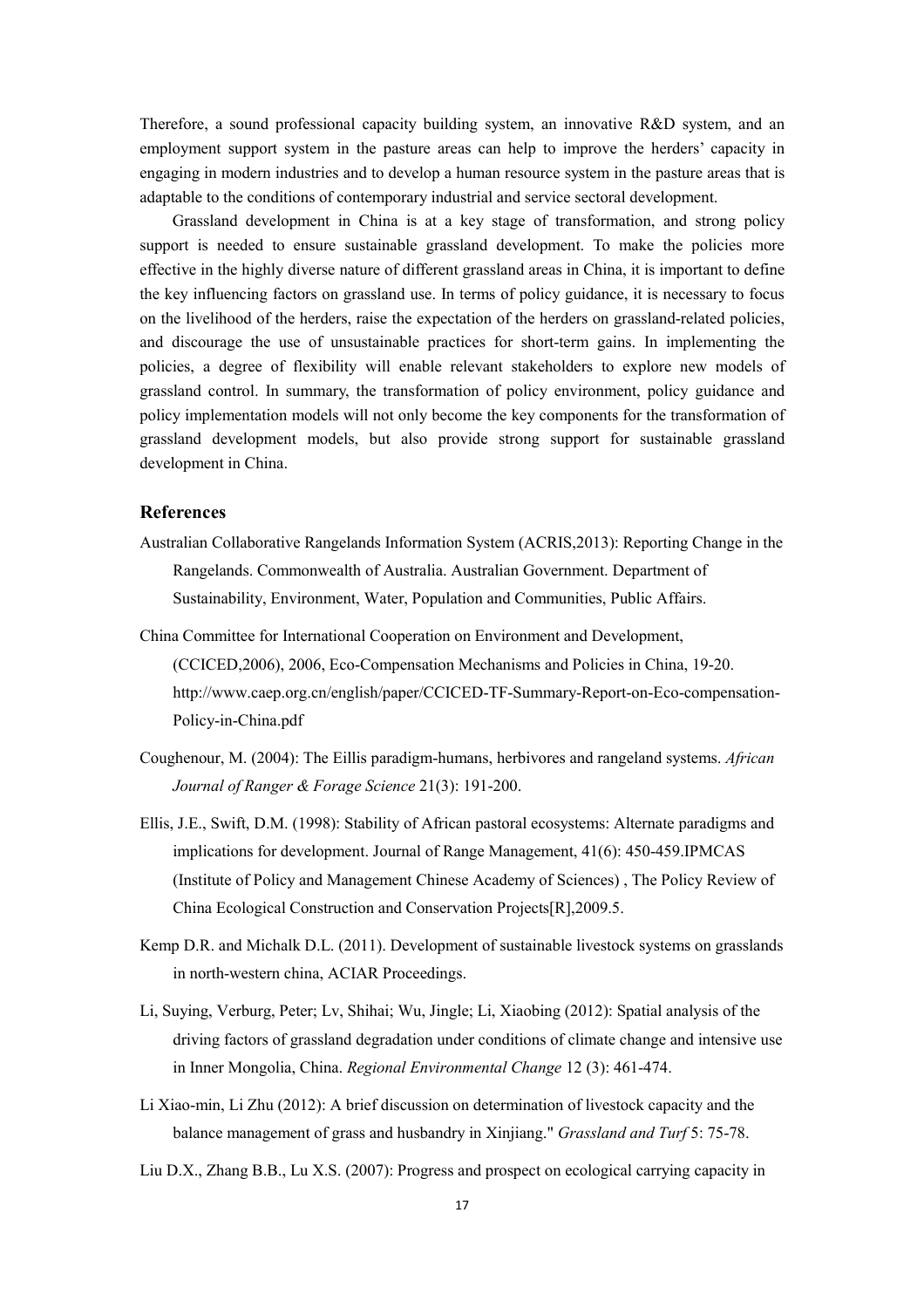Therefore, a sound professional capacity building system, an innovative R&D system, and an employment support system in the pasture areas can help to improve the herders' capacity in engaging in modern industries and to develop a human resource system in the pasture areas that is adaptable to the conditions of contemporary industrial and service sectoral development.

 Grassland development in China is at a key stage of transformation, and strong policy support is needed to ensure sustainable grassland development. To make the policies more effective in the highly diverse nature of different grassland areas in China, it is important to define the key influencing factors on grassland use. In terms of policy guidance, it is necessary to focus on the livelihood of the herders, raise the expectation of the herders on grassland-related policies, and discourage the use of unsustainable practices for short-term gains. In implementing the policies, a degree of flexibility will enable relevant stakeholders to explore new models of grassland control. In summary, the transformation of policy environment, policy guidance and policy implementation models will not only become the key components for the transformation of grassland development models, but also provide strong support for sustainable grassland development in China.

#### **References**

- Australian Collaborative Rangelands Information System (ACRIS,2013): Reporting Change in the Rangelands. Commonwealth of Australia. Australian Government. Department of Sustainability, Environment, Water, Population and Communities, Public Affairs.
- China Committee for International Cooperation on Environment and Development, (CCICED,2006), 2006, Eco-Compensation Mechanisms and Policies in China, 19-20. http://www.caep.org.cn/english/paper/CCICED-TF-Summary-Report-on-Eco-compensation-Policy-in-China.pdf
- *Journal of Ranger & Forage Science* 21(3): 191-200. Coughenour, M. (2004): The Eillis paradigm-humans, herbivores and rangeland systems. *African*
- China Ecological Construction and Conservation Projects[R],2009.5. Ellis, J.E., Swift, D.M. (1998): Stability of African pastoral ecosystems: Alternate paradigms and implications for development. Journal of Range Management, 41(6): 450-459.IPMCAS (Institute of Policy and Management Chinese Academy of Sciences) , The Policy Review of
- Kemp D.R. and Michalk D.L. (2011). Development of sustainable livestock systems on grasslands in north-western china, ACIAR Proceedings.
- Li, Suying, Verburg, Peter; Lv, Shihai; Wu, Jingle; Li, Xiaobing (2012): Spatial analysis of the driving factors of grassland degradation under conditions of climate change and intensive use in Inner Mongolia, China. *Regional Environmental Change* 12 (3): 461-474.
- Li Xiao-min, Li Zhu (2012): A brief discussion on determination of livestock capacity and the balance management of grass and husbandry in Xinjiang." *Grassland and Turf* 5: 75-78.
- Liu D.X., Zhang B.B., Lu X.S. (2007): Progress and prospect on ecological carrying capacity in